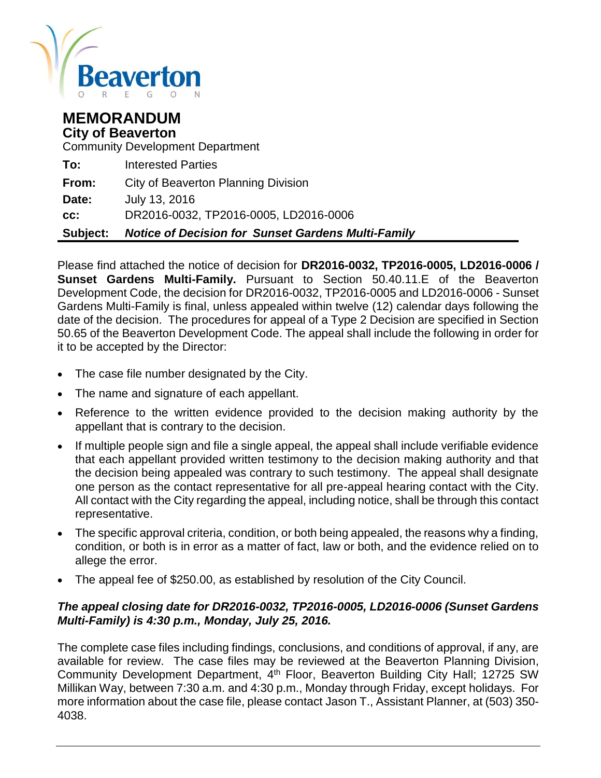

# **MEMORANDUM City of Beaverton**

Community Development Department

| Subject: | <b>Notice of Decision for Sunset Gardens Multi-Family</b> |
|----------|-----------------------------------------------------------|
| CC:      | DR2016-0032, TP2016-0005, LD2016-0006                     |
| Date:    | July 13, 2016                                             |
| From:    | City of Beaverton Planning Division                       |
| To:      | <b>Interested Parties</b>                                 |

Please find attached the notice of decision for **DR2016-0032, TP2016-0005, LD2016-0006 / Sunset Gardens Multi-Family.** Pursuant to Section 50.40.11.E of the Beaverton Development Code, the decision for DR2016-0032, TP2016-0005 and LD2016-0006 - Sunset Gardens Multi-Family is final, unless appealed within twelve (12) calendar days following the date of the decision. The procedures for appeal of a Type 2 Decision are specified in Section 50.65 of the Beaverton Development Code. The appeal shall include the following in order for it to be accepted by the Director:

- The case file number designated by the City.
- The name and signature of each appellant.
- Reference to the written evidence provided to the decision making authority by the appellant that is contrary to the decision.
- If multiple people sign and file a single appeal, the appeal shall include verifiable evidence that each appellant provided written testimony to the decision making authority and that the decision being appealed was contrary to such testimony. The appeal shall designate one person as the contact representative for all pre-appeal hearing contact with the City. All contact with the City regarding the appeal, including notice, shall be through this contact representative.
- The specific approval criteria, condition, or both being appealed, the reasons why a finding, condition, or both is in error as a matter of fact, law or both, and the evidence relied on to allege the error.
- The appeal fee of \$250.00, as established by resolution of the City Council.

# *The appeal closing date for DR2016-0032, TP2016-0005, LD2016-0006 (Sunset Gardens Multi-Family) is 4:30 p.m., Monday, July 25, 2016.*

The complete case files including findings, conclusions, and conditions of approval, if any, are available for review. The case files may be reviewed at the Beaverton Planning Division, Community Development Department, 4<sup>th</sup> Floor, Beaverton Building City Hall; 12725 SW Millikan Way, between 7:30 a.m. and 4:30 p.m., Monday through Friday, except holidays. For more information about the case file, please contact Jason T., Assistant Planner, at (503) 350- 4038.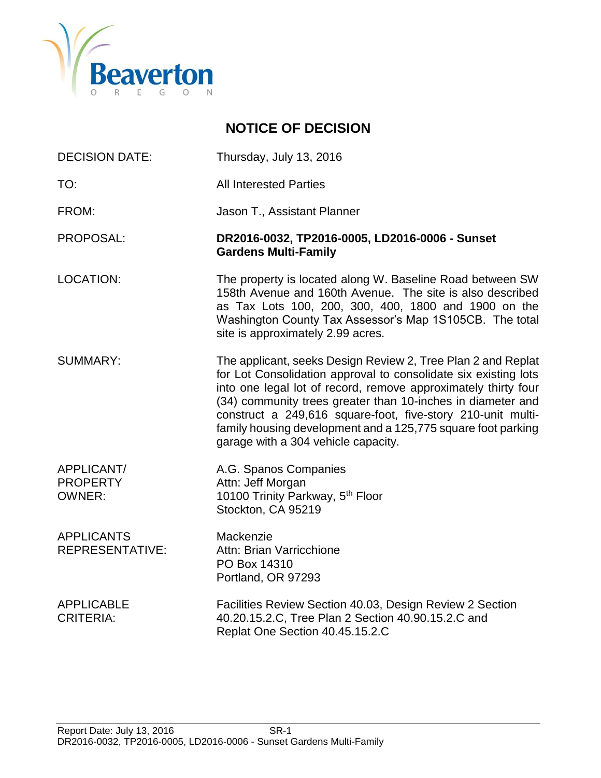

# **NOTICE OF DECISION**

| <b>DECISION DATE:</b> | Thursday, July 13, 2016 |
|-----------------------|-------------------------|
|                       |                         |

TO: TO: All Interested Parties

FROM: Jason T., Assistant Planner

#### PROPOSAL: **DR2016-0032, TP2016-0005, LD2016-0006 - Sunset Gardens Multi-Family**

LOCATION: The property is located along W. Baseline Road between SW 158th Avenue and 160th Avenue. The site is also described as Tax Lots 100, 200, 300, 400, 1800 and 1900 on the Washington County Tax Assessor's Map 1S105CB. The total site is approximately 2.99 acres.

SUMMARY: The applicant, seeks Design Review 2, Tree Plan 2 and Replat for Lot Consolidation approval to consolidate six existing lots into one legal lot of record, remove approximately thirty four (34) community trees greater than 10-inches in diameter and construct a 249,616 square-foot, five-story 210-unit multifamily housing development and a 125,775 square foot parking garage with a 304 vehicle capacity.

APPLICANT/ A.G. Spanos Companies PROPERTY Attn: Jeff Morgan OWNER: 10100 Trinity Parkway, 5<sup>th</sup> Floor Stockton, CA 95219

APPLICANTS Mackenzie REPRESENTATIVE: Attn: Brian Varricchione PO Box 14310 Portland, OR 97293

APPLICABLE Facilities Review Section 40.03, Design Review 2 Section CRITERIA: 40.20.15.2.C, Tree Plan 2 Section 40.90.15.2.C and Replat One Section 40.45.15.2.C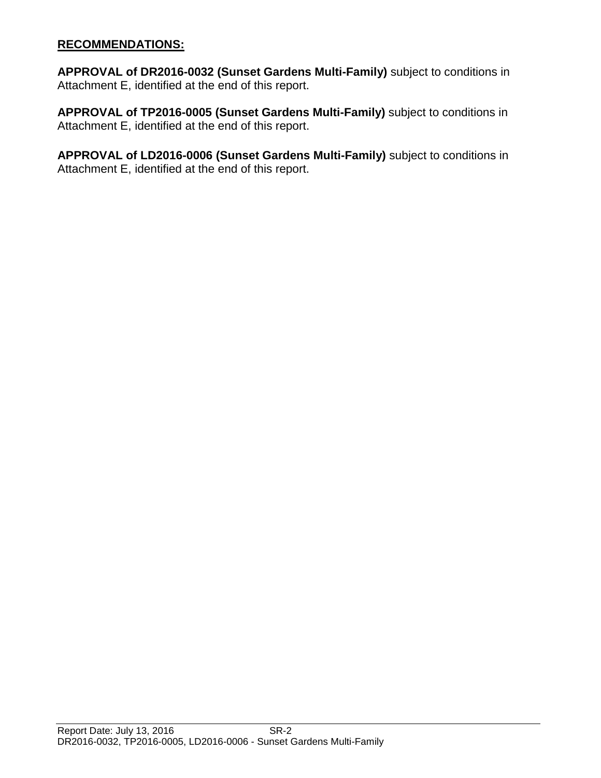## **RECOMMENDATIONS:**

**APPROVAL of DR2016-0032 (Sunset Gardens Multi-Family)** subject to conditions in Attachment E, identified at the end of this report.

**APPROVAL of TP2016-0005 (Sunset Gardens Multi-Family)** subject to conditions in Attachment E, identified at the end of this report.

**APPROVAL of LD2016-0006 (Sunset Gardens Multi-Family)** subject to conditions in Attachment E, identified at the end of this report.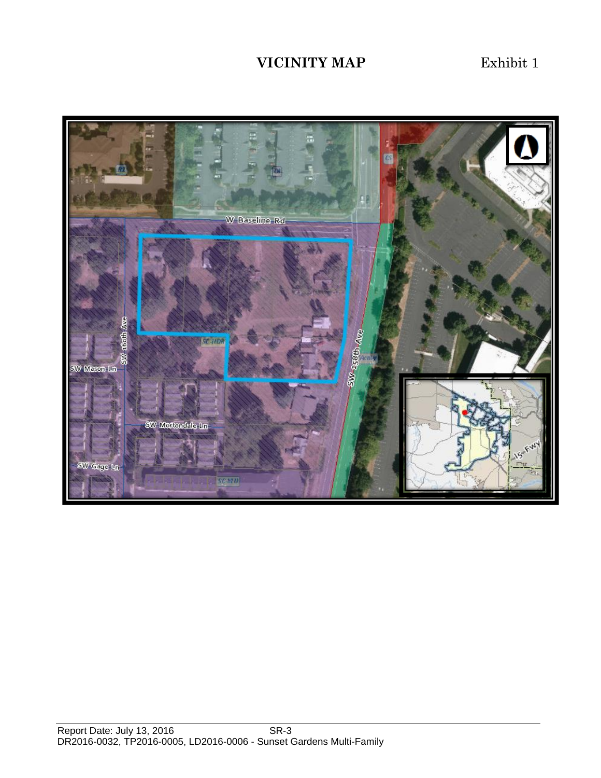# **VICINITY MAP** Exhibit 1

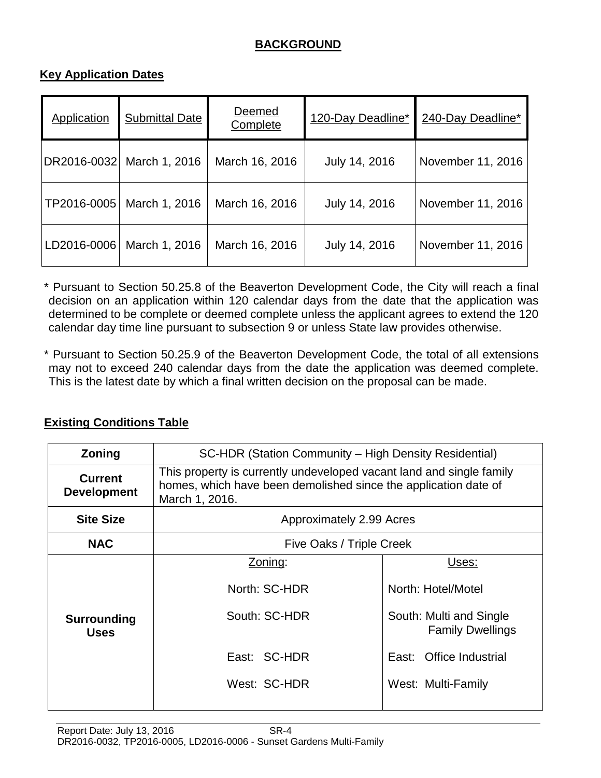# **BACKGROUND**

# **Key Application Dates**

| Application | Submittal Date | Deemed<br>Complete | 120-Day Deadline* | 240-Day Deadline* |
|-------------|----------------|--------------------|-------------------|-------------------|
| DR2016-0032 | March 1, 2016  | March 16, 2016     | July 14, 2016     | November 11, 2016 |
| TP2016-0005 | March 1, 2016  | March 16, 2016     | July 14, 2016     | November 11, 2016 |
| LD2016-0006 | March 1, 2016  | March 16, 2016     | July 14, 2016     | November 11, 2016 |

\* Pursuant to Section 50.25.8 of the Beaverton Development Code, the City will reach a final decision on an application within 120 calendar days from the date that the application was determined to be complete or deemed complete unless the applicant agrees to extend the 120 calendar day time line pursuant to subsection 9 or unless State law provides otherwise.

\* Pursuant to Section 50.25.9 of the Beaverton Development Code, the total of all extensions may not to exceed 240 calendar days from the date the application was deemed complete. This is the latest date by which a final written decision on the proposal can be made.

| Zoning                               | SC-HDR (Station Community – High Density Residential)                                                                                                     |                                                                                                                                    |  |  |
|--------------------------------------|-----------------------------------------------------------------------------------------------------------------------------------------------------------|------------------------------------------------------------------------------------------------------------------------------------|--|--|
| <b>Current</b><br><b>Development</b> | This property is currently undeveloped vacant land and single family<br>homes, which have been demolished since the application date of<br>March 1, 2016. |                                                                                                                                    |  |  |
| <b>Site Size</b>                     | Approximately 2.99 Acres                                                                                                                                  |                                                                                                                                    |  |  |
| <b>NAC</b>                           | Five Oaks / Triple Creek                                                                                                                                  |                                                                                                                                    |  |  |
| Surrounding<br><b>Uses</b>           | Zoning:<br>North: SC-HDR<br>South: SC-HDR<br>East: SC-HDR<br>West: SC-HDR                                                                                 | Uses:<br>North: Hotel/Motel<br>South: Multi and Single<br><b>Family Dwellings</b><br>East: Office Industrial<br>West: Multi-Family |  |  |

# **Existing Conditions Table**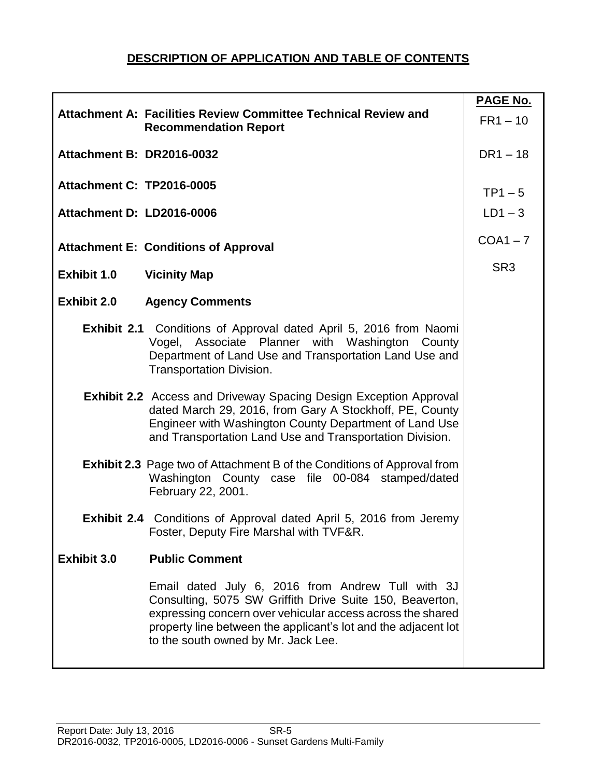# **DESCRIPTION OF APPLICATION AND TABLE OF CONTENTS**

|                                  |                                                                                                                                                                                                                                                                                      | <b>PAGE No.</b> |
|----------------------------------|--------------------------------------------------------------------------------------------------------------------------------------------------------------------------------------------------------------------------------------------------------------------------------------|-----------------|
|                                  | Attachment A: Facilities Review Committee Technical Review and<br><b>Recommendation Report</b>                                                                                                                                                                                       | $FR1 - 10$      |
| Attachment B: DR2016-0032        |                                                                                                                                                                                                                                                                                      | $DR1 - 18$      |
| <b>Attachment C: TP2016-0005</b> |                                                                                                                                                                                                                                                                                      | $TP1-5$         |
| Attachment D: LD2016-0006        |                                                                                                                                                                                                                                                                                      | $LD1-3$         |
|                                  | <b>Attachment E: Conditions of Approval</b>                                                                                                                                                                                                                                          | $COA1 - 7$      |
| <b>Exhibit 1.0</b>               | <b>Vicinity Map</b>                                                                                                                                                                                                                                                                  | SR <sub>3</sub> |
| <b>Exhibit 2.0</b>               | <b>Agency Comments</b>                                                                                                                                                                                                                                                               |                 |
|                                  | <b>Exhibit 2.1</b> Conditions of Approval dated April 5, 2016 from Naomi<br>Vogel, Associate Planner with Washington County<br>Department of Land Use and Transportation Land Use and<br><b>Transportation Division.</b>                                                             |                 |
|                                  | <b>Exhibit 2.2</b> Access and Driveway Spacing Design Exception Approval<br>dated March 29, 2016, from Gary A Stockhoff, PE, County<br>Engineer with Washington County Department of Land Use<br>and Transportation Land Use and Transportation Division.                            |                 |
|                                  | Exhibit 2.3 Page two of Attachment B of the Conditions of Approval from<br>Washington County case file 00-084 stamped/dated<br>February 22, 2001.                                                                                                                                    |                 |
|                                  | Exhibit 2.4 Conditions of Approval dated April 5, 2016 from Jeremy<br>Foster, Deputy Fire Marshal with TVF&R.                                                                                                                                                                        |                 |
| Exhibit 3.0                      | <b>Public Comment</b>                                                                                                                                                                                                                                                                |                 |
|                                  | Email dated July 6, 2016 from Andrew Tull with 3J<br>Consulting, 5075 SW Griffith Drive Suite 150, Beaverton,<br>expressing concern over vehicular access across the shared<br>property line between the applicant's lot and the adjacent lot<br>to the south owned by Mr. Jack Lee. |                 |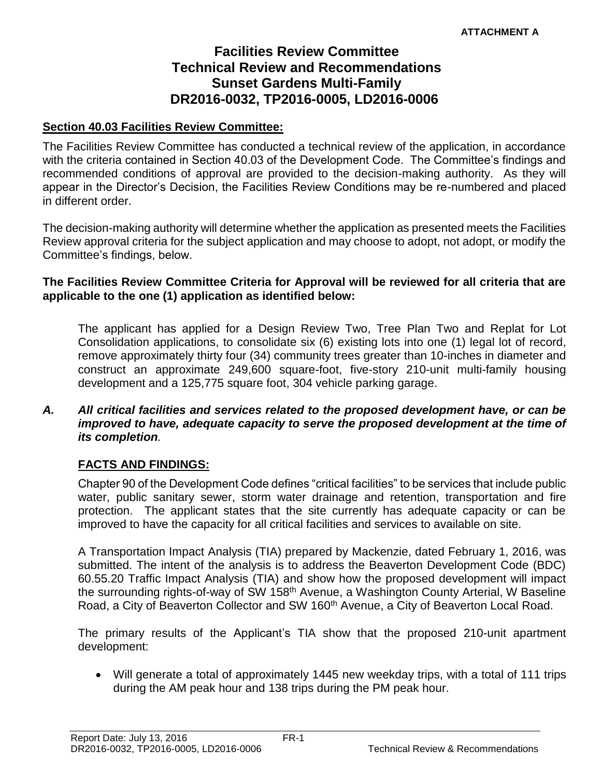# **Facilities Review Committee Technical Review and Recommendations Sunset Gardens Multi-Family DR2016-0032, TP2016-0005, LD2016-0006**

## **Section 40.03 Facilities Review Committee:**

The Facilities Review Committee has conducted a technical review of the application, in accordance with the criteria contained in Section 40.03 of the Development Code. The Committee's findings and recommended conditions of approval are provided to the decision-making authority. As they will appear in the Director's Decision, the Facilities Review Conditions may be re-numbered and placed in different order.

The decision-making authority will determine whether the application as presented meets the Facilities Review approval criteria for the subject application and may choose to adopt, not adopt, or modify the Committee's findings, below.

#### **The Facilities Review Committee Criteria for Approval will be reviewed for all criteria that are applicable to the one (1) application as identified below:**

The applicant has applied for a Design Review Two, Tree Plan Two and Replat for Lot Consolidation applications, to consolidate six (6) existing lots into one (1) legal lot of record, remove approximately thirty four (34) community trees greater than 10-inches in diameter and construct an approximate 249,600 square-foot, five-story 210-unit multi-family housing development and a 125,775 square foot, 304 vehicle parking garage.

### *A. All critical facilities and services related to the proposed development have, or can be improved to have, adequate capacity to serve the proposed development at the time of its completion.*

# **FACTS AND FINDINGS:**

Chapter 90 of the Development Code defines "critical facilities" to be services that include public water, public sanitary sewer, storm water drainage and retention, transportation and fire protection. The applicant states that the site currently has adequate capacity or can be improved to have the capacity for all critical facilities and services to available on site.

A Transportation Impact Analysis (TIA) prepared by Mackenzie, dated February 1, 2016, was submitted. The intent of the analysis is to address the Beaverton Development Code (BDC) 60.55.20 Traffic Impact Analysis (TIA) and show how the proposed development will impact the surrounding rights-of-way of SW 158<sup>th</sup> Avenue, a Washington County Arterial, W Baseline Road, a City of Beaverton Collector and SW 160<sup>th</sup> Avenue, a City of Beaverton Local Road.

The primary results of the Applicant's TIA show that the proposed 210-unit apartment development:

 Will generate a total of approximately 1445 new weekday trips, with a total of 111 trips during the AM peak hour and 138 trips during the PM peak hour.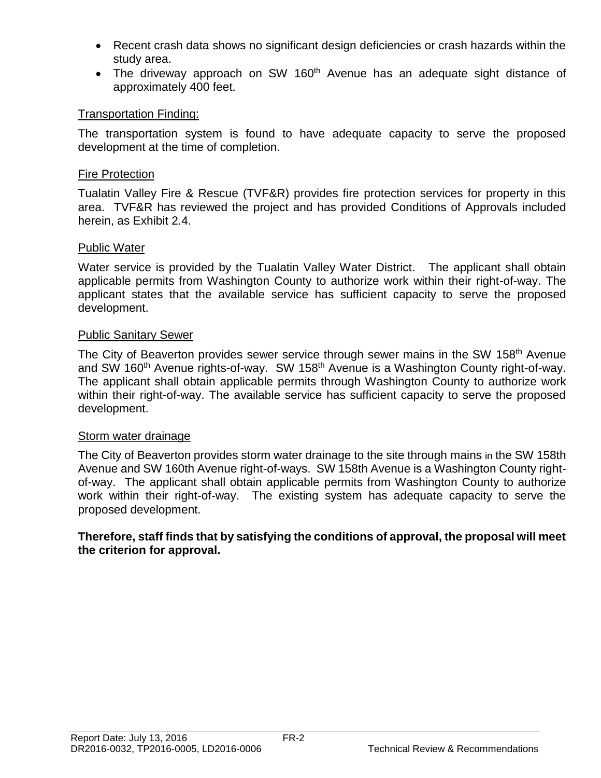- Recent crash data shows no significant design deficiencies or crash hazards within the study area.
- The driveway approach on SW 160<sup>th</sup> Avenue has an adequate sight distance of approximately 400 feet.

# Transportation Finding:

The transportation system is found to have adequate capacity to serve the proposed development at the time of completion.

## Fire Protection

Tualatin Valley Fire & Rescue (TVF&R) provides fire protection services for property in this area. TVF&R has reviewed the project and has provided Conditions of Approvals included herein, as Exhibit 2.4.

## Public Water

Water service is provided by the Tualatin Valley Water District. The applicant shall obtain applicable permits from Washington County to authorize work within their right-of-way. The applicant states that the available service has sufficient capacity to serve the proposed development.

## Public Sanitary Sewer

The City of Beaverton provides sewer service through sewer mains in the SW 158<sup>th</sup> Avenue and SW 160<sup>th</sup> Avenue rights-of-way. SW 158<sup>th</sup> Avenue is a Washington County right-of-way. The applicant shall obtain applicable permits through Washington County to authorize work within their right-of-way. The available service has sufficient capacity to serve the proposed development.

#### Storm water drainage

The City of Beaverton provides storm water drainage to the site through mains in the SW 158th Avenue and SW 160th Avenue right-of-ways. SW 158th Avenue is a Washington County rightof-way. The applicant shall obtain applicable permits from Washington County to authorize work within their right-of-way. The existing system has adequate capacity to serve the proposed development.

#### **Therefore, staff finds that by satisfying the conditions of approval, the proposal will meet the criterion for approval.**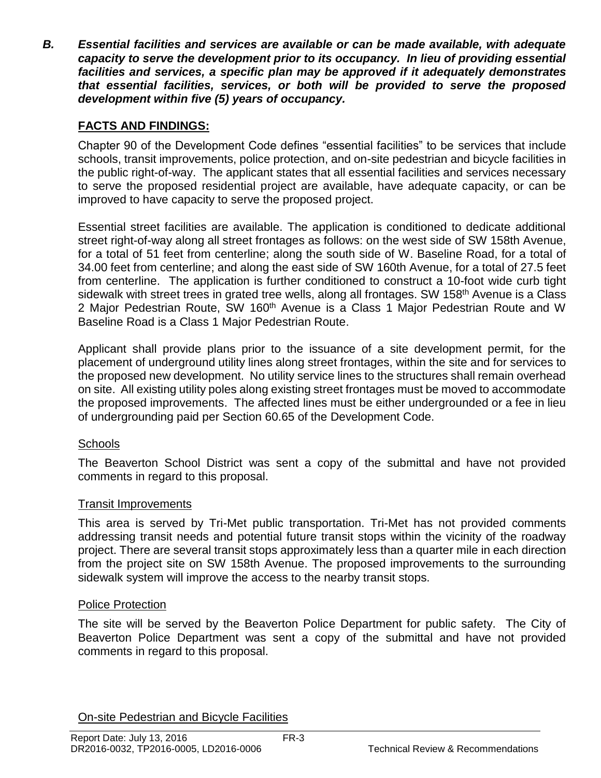*B. Essential facilities and services are available or can be made available, with adequate capacity to serve the development prior to its occupancy. In lieu of providing essential facilities and services, a specific plan may be approved if it adequately demonstrates that essential facilities, services, or both will be provided to serve the proposed development within five (5) years of occupancy.*

# **FACTS AND FINDINGS:**

Chapter 90 of the Development Code defines "essential facilities" to be services that include schools, transit improvements, police protection, and on-site pedestrian and bicycle facilities in the public right-of-way. The applicant states that all essential facilities and services necessary to serve the proposed residential project are available, have adequate capacity, or can be improved to have capacity to serve the proposed project.

Essential street facilities are available. The application is conditioned to dedicate additional street right-of-way along all street frontages as follows: on the west side of SW 158th Avenue, for a total of 51 feet from centerline; along the south side of W. Baseline Road, for a total of 34.00 feet from centerline; and along the east side of SW 160th Avenue, for a total of 27.5 feet from centerline. The application is further conditioned to construct a 10-foot wide curb tight sidewalk with street trees in grated tree wells, along all frontages. SW 158<sup>th</sup> Avenue is a Class 2 Major Pedestrian Route, SW 160<sup>th</sup> Avenue is a Class 1 Major Pedestrian Route and W Baseline Road is a Class 1 Major Pedestrian Route.

Applicant shall provide plans prior to the issuance of a site development permit, for the placement of underground utility lines along street frontages, within the site and for services to the proposed new development. No utility service lines to the structures shall remain overhead on site. All existing utility poles along existing street frontages must be moved to accommodate the proposed improvements. The affected lines must be either undergrounded or a fee in lieu of undergrounding paid per Section 60.65 of the Development Code.

# **Schools**

The Beaverton School District was sent a copy of the submittal and have not provided comments in regard to this proposal.

# Transit Improvements

This area is served by Tri-Met public transportation. Tri-Met has not provided comments addressing transit needs and potential future transit stops within the vicinity of the roadway project. There are several transit stops approximately less than a quarter mile in each direction from the project site on SW 158th Avenue. The proposed improvements to the surrounding sidewalk system will improve the access to the nearby transit stops.

# Police Protection

The site will be served by the Beaverton Police Department for public safety. The City of Beaverton Police Department was sent a copy of the submittal and have not provided comments in regard to this proposal.

On-site Pedestrian and Bicycle Facilities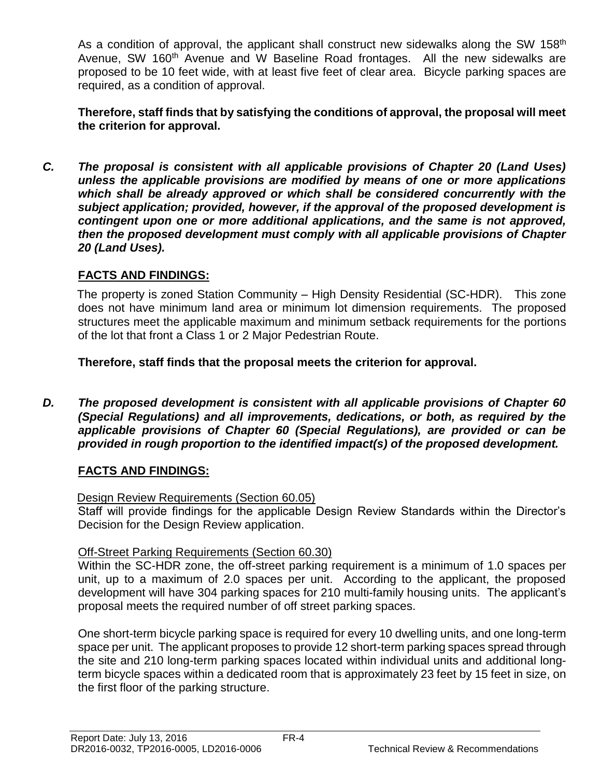As a condition of approval, the applicant shall construct new sidewalks along the SW 158<sup>th</sup> Avenue, SW 160<sup>th</sup> Avenue and W Baseline Road frontages. All the new sidewalks are proposed to be 10 feet wide, with at least five feet of clear area. Bicycle parking spaces are required, as a condition of approval.

**Therefore, staff finds that by satisfying the conditions of approval, the proposal will meet the criterion for approval.**

*C. The proposal is consistent with all applicable provisions of Chapter 20 (Land Uses) unless the applicable provisions are modified by means of one or more applications which shall be already approved or which shall be considered concurrently with the subject application; provided, however, if the approval of the proposed development is contingent upon one or more additional applications, and the same is not approved, then the proposed development must comply with all applicable provisions of Chapter 20 (Land Uses).*

# **FACTS AND FINDINGS:**

The property is zoned Station Community – High Density Residential (SC-HDR). This zone does not have minimum land area or minimum lot dimension requirements. The proposed structures meet the applicable maximum and minimum setback requirements for the portions of the lot that front a Class 1 or 2 Major Pedestrian Route.

**Therefore, staff finds that the proposal meets the criterion for approval.**

*D. The proposed development is consistent with all applicable provisions of Chapter 60 (Special Regulations) and all improvements, dedications, or both, as required by the applicable provisions of Chapter 60 (Special Regulations), are provided or can be provided in rough proportion to the identified impact(s) of the proposed development.*

# **FACTS AND FINDINGS:**

# Design Review Requirements (Section 60.05)

Staff will provide findings for the applicable Design Review Standards within the Director's Decision for the Design Review application.

# Off-Street Parking Requirements (Section 60.30)

Within the SC-HDR zone, the off-street parking requirement is a minimum of 1.0 spaces per unit, up to a maximum of 2.0 spaces per unit. According to the applicant, the proposed development will have 304 parking spaces for 210 multi-family housing units. The applicant's proposal meets the required number of off street parking spaces.

One short-term bicycle parking space is required for every 10 dwelling units, and one long-term space per unit. The applicant proposes to provide 12 short-term parking spaces spread through the site and 210 long-term parking spaces located within individual units and additional longterm bicycle spaces within a dedicated room that is approximately 23 feet by 15 feet in size, on the first floor of the parking structure.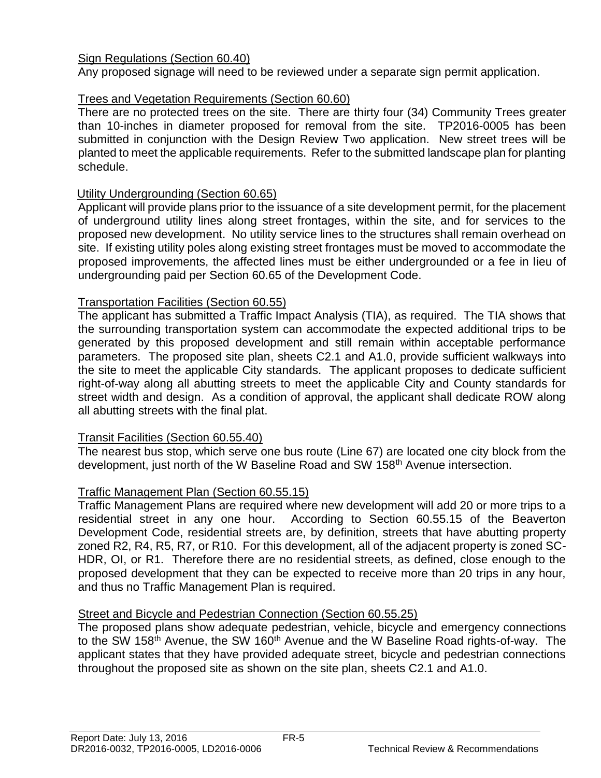# Sign Regulations (Section 60.40)

Any proposed signage will need to be reviewed under a separate sign permit application.

# Trees and Vegetation Requirements (Section 60.60)

There are no protected trees on the site. There are thirty four (34) Community Trees greater than 10-inches in diameter proposed for removal from the site. TP2016-0005 has been submitted in conjunction with the Design Review Two application. New street trees will be planted to meet the applicable requirements. Refer to the submitted landscape plan for planting schedule.

# Utility Undergrounding (Section 60.65)

Applicant will provide plans prior to the issuance of a site development permit, for the placement of underground utility lines along street frontages, within the site, and for services to the proposed new development. No utility service lines to the structures shall remain overhead on site. If existing utility poles along existing street frontages must be moved to accommodate the proposed improvements, the affected lines must be either undergrounded or a fee in lieu of undergrounding paid per Section 60.65 of the Development Code.

# Transportation Facilities (Section 60.55)

The applicant has submitted a Traffic Impact Analysis (TIA), as required. The TIA shows that the surrounding transportation system can accommodate the expected additional trips to be generated by this proposed development and still remain within acceptable performance parameters. The proposed site plan, sheets C2.1 and A1.0, provide sufficient walkways into the site to meet the applicable City standards. The applicant proposes to dedicate sufficient right-of-way along all abutting streets to meet the applicable City and County standards for street width and design. As a condition of approval, the applicant shall dedicate ROW along all abutting streets with the final plat.

# Transit Facilities (Section 60.55.40)

The nearest bus stop, which serve one bus route (Line 67) are located one city block from the development, just north of the W Baseline Road and SW 158<sup>th</sup> Avenue intersection.

# Traffic Management Plan (Section 60.55.15)

Traffic Management Plans are required where new development will add 20 or more trips to a residential street in any one hour. According to Section 60.55.15 of the Beaverton Development Code, residential streets are, by definition, streets that have abutting property zoned R2, R4, R5, R7, or R10. For this development, all of the adjacent property is zoned SC-HDR, OI, or R1. Therefore there are no residential streets, as defined, close enough to the proposed development that they can be expected to receive more than 20 trips in any hour, and thus no Traffic Management Plan is required.

#### Street and Bicycle and Pedestrian Connection (Section 60.55.25)

The proposed plans show adequate pedestrian, vehicle, bicycle and emergency connections to the SW 158<sup>th</sup> Avenue, the SW 160<sup>th</sup> Avenue and the W Baseline Road rights-of-way. The applicant states that they have provided adequate street, bicycle and pedestrian connections throughout the proposed site as shown on the site plan, sheets C2.1 and A1.0.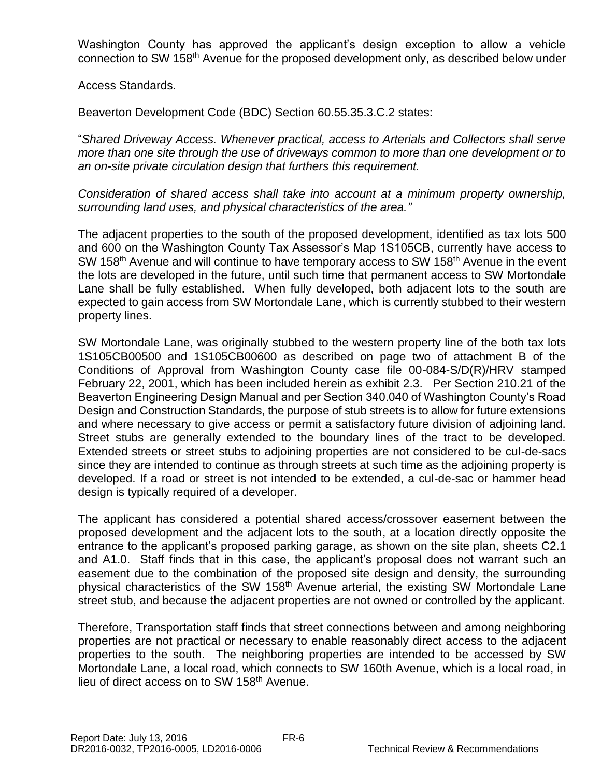Washington County has approved the applicant's design exception to allow a vehicle connection to SW 158<sup>th</sup> Avenue for the proposed development only, as described below under

## Access Standards.

Beaverton Development Code (BDC) Section 60.55.35.3.C.2 states:

"*Shared Driveway Access. Whenever practical, access to Arterials and Collectors shall serve more than one site through the use of driveways common to more than one development or to an on-site private circulation design that furthers this requirement.*

*Consideration of shared access shall take into account at a minimum property ownership, surrounding land uses, and physical characteristics of the area."*

The adjacent properties to the south of the proposed development, identified as tax lots 500 and 600 on the Washington County Tax Assessor's Map 1S105CB, currently have access to SW 158<sup>th</sup> Avenue and will continue to have temporary access to SW 158<sup>th</sup> Avenue in the event the lots are developed in the future, until such time that permanent access to SW Mortondale Lane shall be fully established. When fully developed, both adjacent lots to the south are expected to gain access from SW Mortondale Lane, which is currently stubbed to their western property lines.

SW Mortondale Lane, was originally stubbed to the western property line of the both tax lots 1S105CB00500 and 1S105CB00600 as described on page two of attachment B of the Conditions of Approval from Washington County case file 00-084-S/D(R)/HRV stamped February 22, 2001, which has been included herein as exhibit 2.3. Per Section 210.21 of the Beaverton Engineering Design Manual and per Section 340.040 of Washington County's Road Design and Construction Standards, the purpose of stub streets is to allow for future extensions and where necessary to give access or permit a satisfactory future division of adjoining land. Street stubs are generally extended to the boundary lines of the tract to be developed. Extended streets or street stubs to adjoining properties are not considered to be cul-de-sacs since they are intended to continue as through streets at such time as the adjoining property is developed. If a road or street is not intended to be extended, a cul-de-sac or hammer head design is typically required of a developer.

The applicant has considered a potential shared access/crossover easement between the proposed development and the adjacent lots to the south, at a location directly opposite the entrance to the applicant's proposed parking garage, as shown on the site plan, sheets C2.1 and A1.0. Staff finds that in this case, the applicant's proposal does not warrant such an easement due to the combination of the proposed site design and density, the surrounding physical characteristics of the SW 158<sup>th</sup> Avenue arterial, the existing SW Mortondale Lane street stub, and because the adjacent properties are not owned or controlled by the applicant.

Therefore, Transportation staff finds that street connections between and among neighboring properties are not practical or necessary to enable reasonably direct access to the adjacent properties to the south. The neighboring properties are intended to be accessed by SW Mortondale Lane, a local road, which connects to SW 160th Avenue, which is a local road, in lieu of direct access on to SW 158<sup>th</sup> Avenue.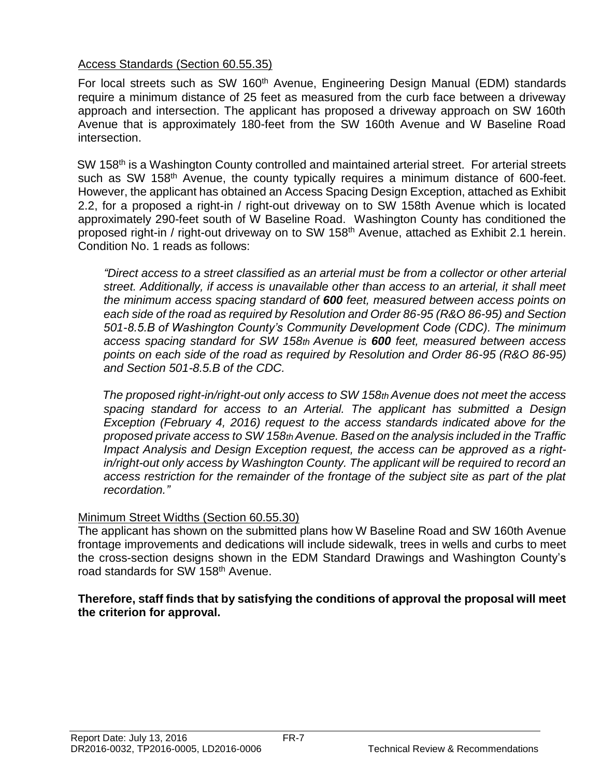# Access Standards (Section 60.55.35)

For local streets such as SW 160<sup>th</sup> Avenue, Engineering Design Manual (EDM) standards require a minimum distance of 25 feet as measured from the curb face between a driveway approach and intersection. The applicant has proposed a driveway approach on SW 160th Avenue that is approximately 180-feet from the SW 160th Avenue and W Baseline Road intersection.

SW 158<sup>th</sup> is a Washington County controlled and maintained arterial street. For arterial streets such as SW 158<sup>th</sup> Avenue, the county typically requires a minimum distance of 600-feet. However, the applicant has obtained an Access Spacing Design Exception, attached as Exhibit 2.2, for a proposed a right-in / right-out driveway on to SW 158th Avenue which is located approximately 290-feet south of W Baseline Road. Washington County has conditioned the proposed right-in / right-out driveway on to SW 158<sup>th</sup> Avenue, attached as Exhibit 2.1 herein. Condition No. 1 reads as follows:

*"Direct access to a street classified as an arterial must be from a collector or other arterial street. Additionally, if access is unavailable other than access to an arterial, it shall meet the minimum access spacing standard of 600 feet, measured between access points on each side of the road as required by Resolution and Order 86-95 (R&O 86-95) and Section 501-8.5.B of Washington County's Community Development Code (CDC). The minimum access spacing standard for SW 158th Avenue is 600 feet, measured between access points on each side of the road as required by Resolution and Order 86-95 (R&O 86-95) and Section 501-8.5.B of the CDC.* 

*The proposed right-in/right-out only access to SW 158th Avenue does not meet the access spacing standard for access to an Arterial. The applicant has submitted a Design Exception (February 4, 2016) request to the access standards indicated above for the proposed private access to SW 158th Avenue. Based on the analysis included in the Traffic Impact Analysis and Design Exception request, the access can be approved as a rightin/right-out only access by Washington County. The applicant will be required to record an access restriction for the remainder of the frontage of the subject site as part of the plat recordation."*

# Minimum Street Widths (Section 60.55.30)

The applicant has shown on the submitted plans how W Baseline Road and SW 160th Avenue frontage improvements and dedications will include sidewalk, trees in wells and curbs to meet the cross-section designs shown in the EDM Standard Drawings and Washington County's road standards for SW 158<sup>th</sup> Avenue.

## **Therefore, staff finds that by satisfying the conditions of approval the proposal will meet the criterion for approval.**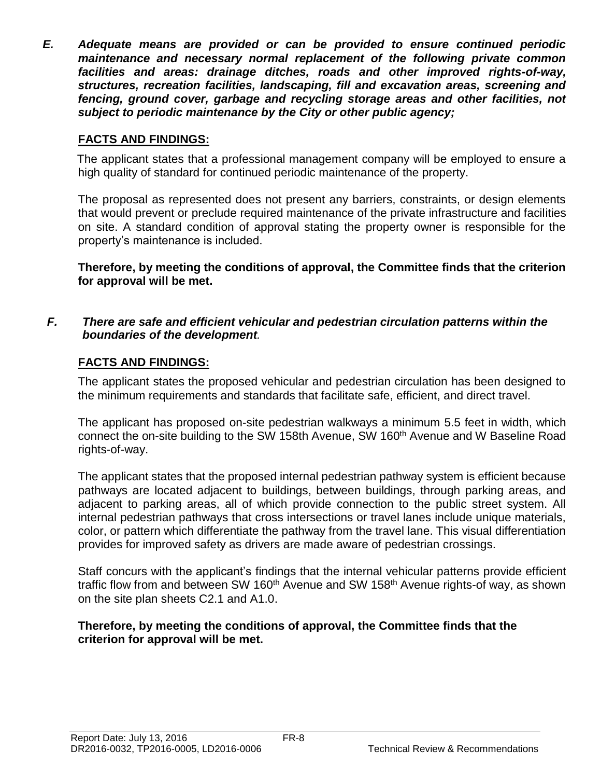*E. Adequate means are provided or can be provided to ensure continued periodic maintenance and necessary normal replacement of the following private common facilities and areas: drainage ditches, roads and other improved rights-of-way, structures, recreation facilities, landscaping, fill and excavation areas, screening and fencing, ground cover, garbage and recycling storage areas and other facilities, not subject to periodic maintenance by the City or other public agency;*

# **FACTS AND FINDINGS:**

The applicant states that a professional management company will be employed to ensure a high quality of standard for continued periodic maintenance of the property.

The proposal as represented does not present any barriers, constraints, or design elements that would prevent or preclude required maintenance of the private infrastructure and facilities on site. A standard condition of approval stating the property owner is responsible for the property's maintenance is included.

**Therefore, by meeting the conditions of approval, the Committee finds that the criterion for approval will be met.**

## *F. There are safe and efficient vehicular and pedestrian circulation patterns within the boundaries of the development.*

# **FACTS AND FINDINGS:**

The applicant states the proposed vehicular and pedestrian circulation has been designed to the minimum requirements and standards that facilitate safe, efficient, and direct travel.

The applicant has proposed on-site pedestrian walkways a minimum 5.5 feet in width, which connect the on-site building to the SW 158th Avenue, SW 160<sup>th</sup> Avenue and W Baseline Road rights-of-way.

The applicant states that the proposed internal pedestrian pathway system is efficient because pathways are located adjacent to buildings, between buildings, through parking areas, and adjacent to parking areas, all of which provide connection to the public street system. All internal pedestrian pathways that cross intersections or travel lanes include unique materials, color, or pattern which differentiate the pathway from the travel lane. This visual differentiation provides for improved safety as drivers are made aware of pedestrian crossings.

Staff concurs with the applicant's findings that the internal vehicular patterns provide efficient traffic flow from and between SW 160<sup>th</sup> Avenue and SW 158<sup>th</sup> Avenue rights-of way, as shown on the site plan sheets C2.1 and A1.0.

## **Therefore, by meeting the conditions of approval, the Committee finds that the criterion for approval will be met.**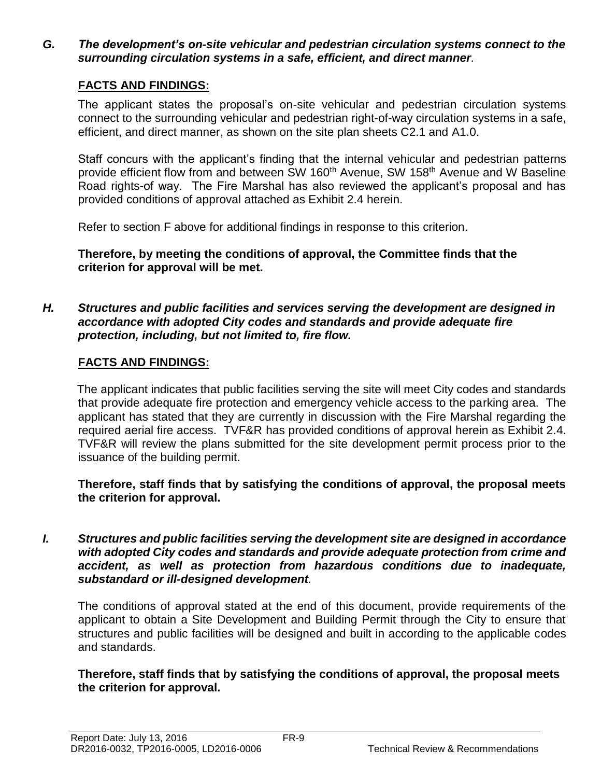*G. The development's on-site vehicular and pedestrian circulation systems connect to the surrounding circulation systems in a safe, efficient, and direct manner.*

# **FACTS AND FINDINGS:**

The applicant states the proposal's on-site vehicular and pedestrian circulation systems connect to the surrounding vehicular and pedestrian right-of-way circulation systems in a safe, efficient, and direct manner, as shown on the site plan sheets C2.1 and A1.0.

Staff concurs with the applicant's finding that the internal vehicular and pedestrian patterns provide efficient flow from and between SW 160<sup>th</sup> Avenue, SW 158<sup>th</sup> Avenue and W Baseline Road rights-of way. The Fire Marshal has also reviewed the applicant's proposal and has provided conditions of approval attached as Exhibit 2.4 herein.

Refer to section F above for additional findings in response to this criterion.

**Therefore, by meeting the conditions of approval, the Committee finds that the criterion for approval will be met.**

*H. Structures and public facilities and services serving the development are designed in accordance with adopted City codes and standards and provide adequate fire protection, including, but not limited to, fire flow.*

# **FACTS AND FINDINGS:**

The applicant indicates that public facilities serving the site will meet City codes and standards that provide adequate fire protection and emergency vehicle access to the parking area. The applicant has stated that they are currently in discussion with the Fire Marshal regarding the required aerial fire access. TVF&R has provided conditions of approval herein as Exhibit 2.4. TVF&R will review the plans submitted for the site development permit process prior to the issuance of the building permit.

**Therefore, staff finds that by satisfying the conditions of approval, the proposal meets the criterion for approval.**

*I. Structures and public facilities serving the development site are designed in accordance with adopted City codes and standards and provide adequate protection from crime and accident, as well as protection from hazardous conditions due to inadequate, substandard or ill-designed development.*

The conditions of approval stated at the end of this document, provide requirements of the applicant to obtain a Site Development and Building Permit through the City to ensure that structures and public facilities will be designed and built in according to the applicable codes and standards.

**Therefore, staff finds that by satisfying the conditions of approval, the proposal meets the criterion for approval.**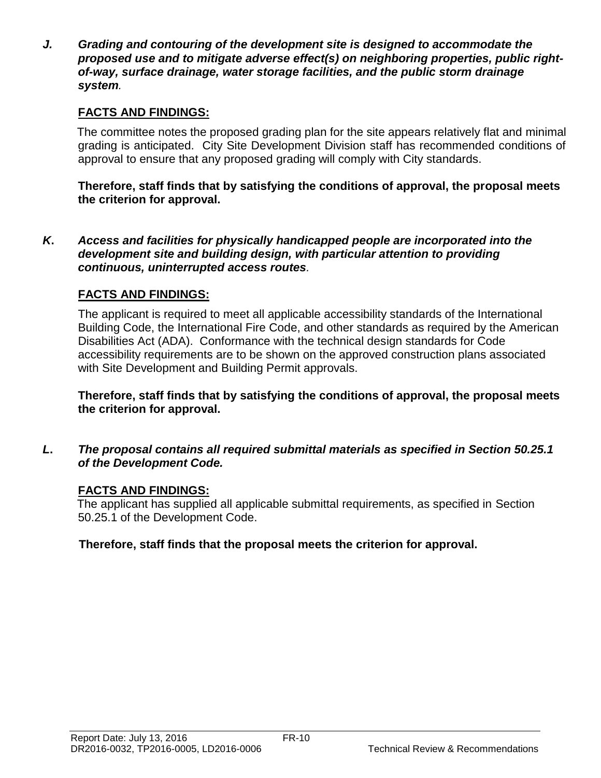*J. Grading and contouring of the development site is designed to accommodate the proposed use and to mitigate adverse effect(s) on neighboring properties, public rightof-way, surface drainage, water storage facilities, and the public storm drainage system.*

# **FACTS AND FINDINGS:**

The committee notes the proposed grading plan for the site appears relatively flat and minimal grading is anticipated. City Site Development Division staff has recommended conditions of approval to ensure that any proposed grading will comply with City standards.

**Therefore, staff finds that by satisfying the conditions of approval, the proposal meets the criterion for approval.**

*K***.** *Access and facilities for physically handicapped people are incorporated into the development site and building design, with particular attention to providing continuous, uninterrupted access routes.*

# **FACTS AND FINDINGS:**

The applicant is required to meet all applicable accessibility standards of the International Building Code, the International Fire Code, and other standards as required by the American Disabilities Act (ADA). Conformance with the technical design standards for Code accessibility requirements are to be shown on the approved construction plans associated with Site Development and Building Permit approvals.

**Therefore, staff finds that by satisfying the conditions of approval, the proposal meets the criterion for approval.**

*L***.** *The proposal contains all required submittal materials as specified in Section 50.25.1 of the Development Code.* 

# **FACTS AND FINDINGS:**

The applicant has supplied all applicable submittal requirements, as specified in Section 50.25.1 of the Development Code.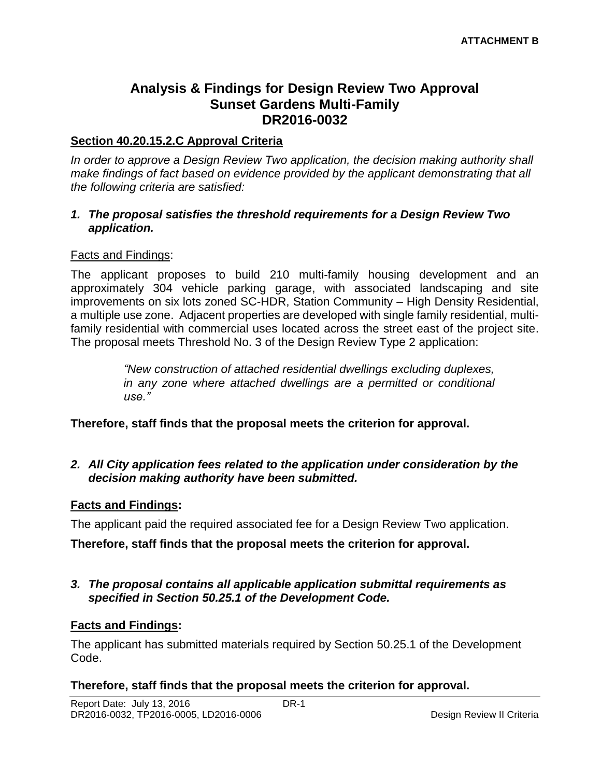# **Analysis & Findings for Design Review Two Approval Sunset Gardens Multi-Family DR2016-0032**

## **Section 40.20.15.2.C Approval Criteria**

*In order to approve a Design Review Two application, the decision making authority shall make findings of fact based on evidence provided by the applicant demonstrating that all the following criteria are satisfied:*

#### *1. The proposal satisfies the threshold requirements for a Design Review Two application.*

## Facts and Findings:

The applicant proposes to build 210 multi-family housing development and an approximately 304 vehicle parking garage, with associated landscaping and site improvements on six lots zoned SC-HDR, Station Community – High Density Residential, a multiple use zone. Adjacent properties are developed with single family residential, multifamily residential with commercial uses located across the street east of the project site. The proposal meets Threshold No. 3 of the Design Review Type 2 application:

> *"New construction of attached residential dwellings excluding duplexes, in any zone where attached dwellings are a permitted or conditional use."*

**Therefore, staff finds that the proposal meets the criterion for approval.**

## *2. All City application fees related to the application under consideration by the decision making authority have been submitted.*

#### **Facts and Findings:**

The applicant paid the required associated fee for a Design Review Two application.

**Therefore, staff finds that the proposal meets the criterion for approval.**

#### *3. The proposal contains all applicable application submittal requirements as specified in Section 50.25.1 of the Development Code.*

# **Facts and Findings:**

The applicant has submitted materials required by Section 50.25.1 of the Development Code.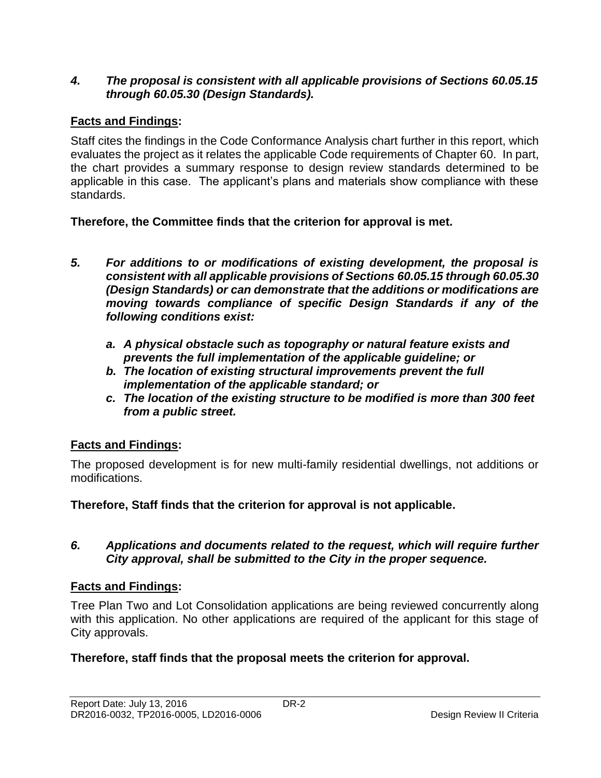# *4. The proposal is consistent with all applicable provisions of Sections 60.05.15 through 60.05.30 (Design Standards).*

# **Facts and Findings:**

Staff cites the findings in the Code Conformance Analysis chart further in this report, which evaluates the project as it relates the applicable Code requirements of Chapter 60. In part, the chart provides a summary response to design review standards determined to be applicable in this case. The applicant's plans and materials show compliance with these standards.

**Therefore, the Committee finds that the criterion for approval is met.**

- *5. For additions to or modifications of existing development, the proposal is consistent with all applicable provisions of Sections 60.05.15 through 60.05.30 (Design Standards) or can demonstrate that the additions or modifications are moving towards compliance of specific Design Standards if any of the following conditions exist:*
	- *a. A physical obstacle such as topography or natural feature exists and prevents the full implementation of the applicable guideline; or*
	- *b. The location of existing structural improvements prevent the full implementation of the applicable standard; or*
	- *c. The location of the existing structure to be modified is more than 300 feet from a public street.*

# **Facts and Findings:**

The proposed development is for new multi-family residential dwellings, not additions or modifications.

**Therefore, Staff finds that the criterion for approval is not applicable.**

# *6. Applications and documents related to the request, which will require further City approval, shall be submitted to the City in the proper sequence.*

# **Facts and Findings:**

Tree Plan Two and Lot Consolidation applications are being reviewed concurrently along with this application. No other applications are required of the applicant for this stage of City approvals.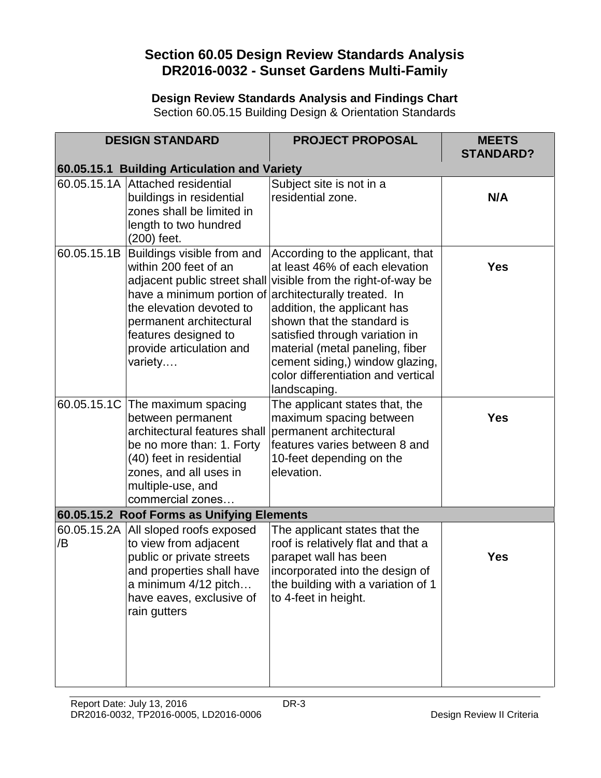# **Section 60.05 Design Review Standards Analysis DR2016-0032 - Sunset Gardens Multi-Family**

**Design Review Standards Analysis and Findings Chart** Section 60.05.15 Building Design & Orientation Standards

|    | <b>DESIGN STANDARD</b>                                                                                                                                                                                             | <b>PROJECT PROPOSAL</b>                                                                                                                                                                                                                                                                                                                                                                       | <b>MEETS</b><br><b>STANDARD?</b> |
|----|--------------------------------------------------------------------------------------------------------------------------------------------------------------------------------------------------------------------|-----------------------------------------------------------------------------------------------------------------------------------------------------------------------------------------------------------------------------------------------------------------------------------------------------------------------------------------------------------------------------------------------|----------------------------------|
|    | 60.05.15.1 Building Articulation and Variety                                                                                                                                                                       |                                                                                                                                                                                                                                                                                                                                                                                               |                                  |
|    | 60.05.15.1A Attached residential<br>buildings in residential<br>zones shall be limited in<br>length to two hundred<br>(200) feet.                                                                                  | Subject site is not in a<br>residential zone.                                                                                                                                                                                                                                                                                                                                                 | N/A                              |
|    | 60.05.15.1B Buildings visible from and<br>within 200 feet of an<br>have a minimum portion of<br>the elevation devoted to<br>permanent architectural<br>features designed to<br>provide articulation and<br>variety | According to the applicant, that<br>at least 46% of each elevation<br>adjacent public street shall visible from the right-of-way be<br>architecturally treated. In<br>addition, the applicant has<br>shown that the standard is<br>satisfied through variation in<br>material (metal paneling, fiber<br>cement siding,) window glazing,<br>color differentiation and vertical<br>landscaping. | <b>Yes</b>                       |
|    | 60.05.15.1C The maximum spacing<br>between permanent<br>architectural features shall<br>be no more than: 1. Forty<br>(40) feet in residential<br>zones, and all uses in<br>multiple-use, and<br>commercial zones   | The applicant states that, the<br>maximum spacing between<br>permanent architectural<br>features varies between 8 and<br>10-feet depending on the<br>elevation.                                                                                                                                                                                                                               | <b>Yes</b>                       |
|    | 60.05.15.2 Roof Forms as Unifying Elements                                                                                                                                                                         |                                                                                                                                                                                                                                                                                                                                                                                               |                                  |
| /B | 60.05.15.2A All sloped roofs exposed<br>to view from adjacent<br>public or private streets<br>and properties shall have<br>a minimum 4/12 pitch<br>have eaves, exclusive of<br>rain gutters                        | The applicant states that the<br>roof is relatively flat and that a<br>parapet wall has been<br>incorporated into the design of<br>the building with a variation of 1<br>to 4-feet in height.                                                                                                                                                                                                 | <b>Yes</b>                       |
|    |                                                                                                                                                                                                                    |                                                                                                                                                                                                                                                                                                                                                                                               |                                  |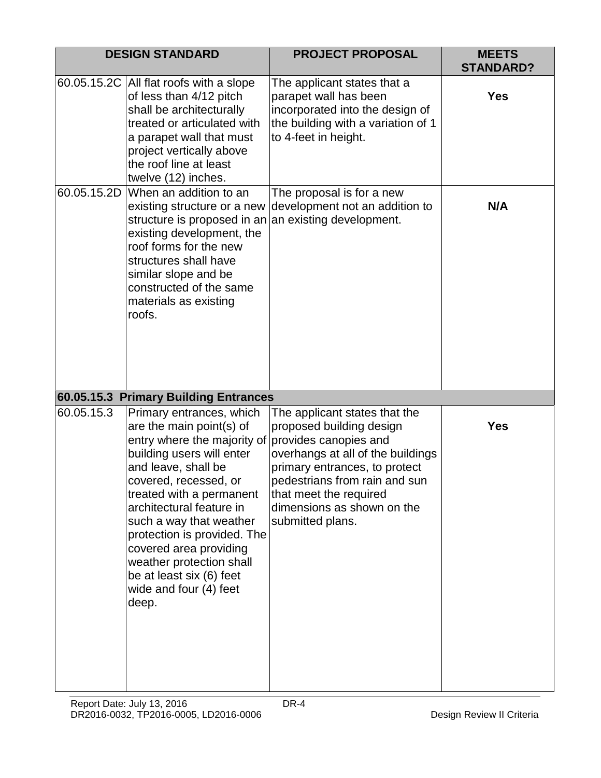|             | <b>DESIGN STANDARD</b>                                                                                                                                                                                                                                                                                                                                                                                                                                                                               | <b>PROJECT PROPOSAL</b>                                                                                                                                                                                                                                               | <b>MEETS</b><br><b>STANDARD?</b> |
|-------------|------------------------------------------------------------------------------------------------------------------------------------------------------------------------------------------------------------------------------------------------------------------------------------------------------------------------------------------------------------------------------------------------------------------------------------------------------------------------------------------------------|-----------------------------------------------------------------------------------------------------------------------------------------------------------------------------------------------------------------------------------------------------------------------|----------------------------------|
| 60.05.15.2D | 60.05.15.2C All flat roofs with a slope<br>of less than 4/12 pitch<br>shall be architecturally<br>treated or articulated with<br>a parapet wall that must<br>project vertically above<br>the roof line at least<br>twelve (12) inches.<br>When an addition to an<br>existing structure or a new<br>structure is proposed in an<br>existing development, the<br>roof forms for the new<br>structures shall have<br>similar slope and be<br>constructed of the same<br>materials as existing<br>roofs. | The applicant states that a<br>parapet wall has been<br>incorporated into the design of<br>the building with a variation of 1<br>to 4-feet in height.<br>The proposal is for a new<br>development not an addition to<br>an existing development.                      | <b>Yes</b><br>N/A                |
|             |                                                                                                                                                                                                                                                                                                                                                                                                                                                                                                      |                                                                                                                                                                                                                                                                       |                                  |
| 60.05.15.3  | 60.05.15.3 Primary Building Entrances<br>Primary entrances, which                                                                                                                                                                                                                                                                                                                                                                                                                                    |                                                                                                                                                                                                                                                                       |                                  |
|             | are the main point(s) of<br>entry where the majority of<br>building users will enter<br>and leave, shall be<br>covered, recessed, or<br>treated with a permanent<br>architectural feature in<br>such a way that weather<br>protection is provided. The<br>covered area providing<br>weather protection shall<br>be at least six (6) feet<br>wide and four (4) feet<br>deep.                                                                                                                          | The applicant states that the<br>proposed building design<br>provides canopies and<br>overhangs at all of the buildings<br>primary entrances, to protect<br>pedestrians from rain and sun<br>that meet the required<br>dimensions as shown on the<br>submitted plans. | <b>Yes</b>                       |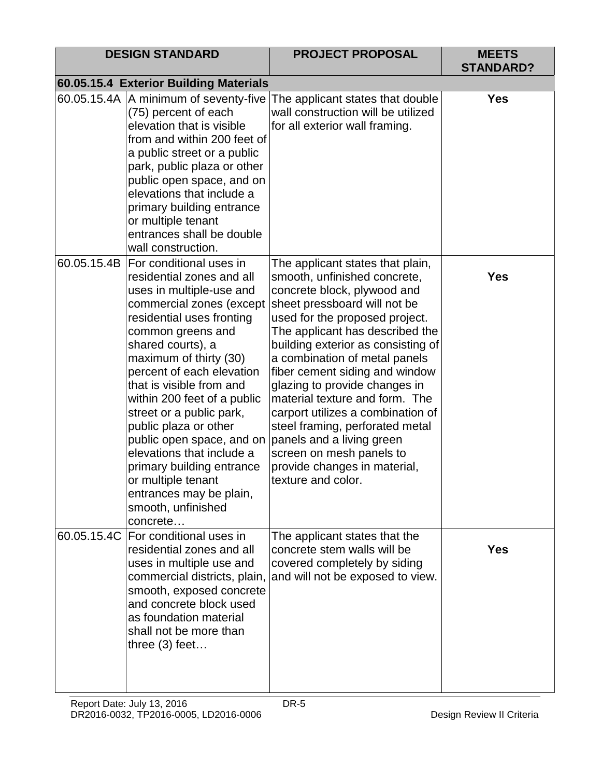|             | <b>DESIGN STANDARD</b>                                                                                                                                                                                                                                                                                                                                                                                                                                                                                                                      | <b>PROJECT PROPOSAL</b>                                                                                                                                                                                                                                                                                                                                                                                                                                                                                                                                                 | <b>MEETS</b><br><b>STANDARD?</b> |
|-------------|---------------------------------------------------------------------------------------------------------------------------------------------------------------------------------------------------------------------------------------------------------------------------------------------------------------------------------------------------------------------------------------------------------------------------------------------------------------------------------------------------------------------------------------------|-------------------------------------------------------------------------------------------------------------------------------------------------------------------------------------------------------------------------------------------------------------------------------------------------------------------------------------------------------------------------------------------------------------------------------------------------------------------------------------------------------------------------------------------------------------------------|----------------------------------|
|             | 60.05.15.4 Exterior Building Materials                                                                                                                                                                                                                                                                                                                                                                                                                                                                                                      |                                                                                                                                                                                                                                                                                                                                                                                                                                                                                                                                                                         |                                  |
|             | 60.05.15.4A   A minimum of seventy-five<br>(75) percent of each<br>elevation that is visible<br>from and within 200 feet of<br>a public street or a public<br>park, public plaza or other<br>public open space, and on<br>elevations that include a<br>primary building entrance<br>or multiple tenant<br>entrances shall be double<br>wall construction.                                                                                                                                                                                   | The applicant states that double<br>wall construction will be utilized<br>for all exterior wall framing.                                                                                                                                                                                                                                                                                                                                                                                                                                                                | <b>Yes</b>                       |
| 60.05.15.4B | <b>For conditional uses in</b><br>residential zones and all<br>uses in multiple-use and<br>commercial zones (except<br>residential uses fronting<br>common greens and<br>shared courts), a<br>maximum of thirty (30)<br>percent of each elevation<br>that is visible from and<br>within 200 feet of a public<br>street or a public park,<br>public plaza or other<br>public open space, and on<br>elevations that include a<br>primary building entrance<br>or multiple tenant<br>entrances may be plain,<br>smooth, unfinished<br>concrete | The applicant states that plain,<br>smooth, unfinished concrete,<br>concrete block, plywood and<br>sheet pressboard will not be<br>used for the proposed project.<br>The applicant has described the<br>building exterior as consisting of<br>a combination of metal panels<br>fiber cement siding and window<br>glazing to provide changes in<br>material texture and form. The<br>carport utilizes a combination of<br>steel framing, perforated metal<br>panels and a living green<br>screen on mesh panels to<br>provide changes in material,<br>texture and color. | <b>Yes</b>                       |
|             | 60.05.15.4C For conditional uses in<br>residential zones and all<br>uses in multiple use and<br>commercial districts, plain,<br>smooth, exposed concrete<br>and concrete block used<br>as foundation material<br>shall not be more than<br>three $(3)$ feet                                                                                                                                                                                                                                                                                 | The applicant states that the<br>concrete stem walls will be<br>covered completely by siding<br>and will not be exposed to view.                                                                                                                                                                                                                                                                                                                                                                                                                                        | <b>Yes</b>                       |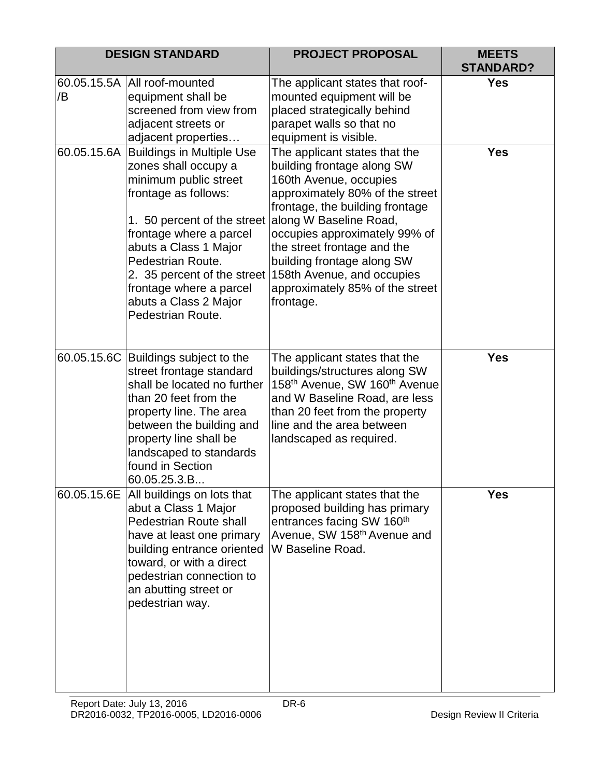|    | <b>DESIGN STANDARD</b>                                                                                                                                                                                                                                                                                                         | <b>PROJECT PROPOSAL</b>                                                                                                                                                                                                                                                                                                                                           | <b>MEETS</b><br><b>STANDARD?</b> |
|----|--------------------------------------------------------------------------------------------------------------------------------------------------------------------------------------------------------------------------------------------------------------------------------------------------------------------------------|-------------------------------------------------------------------------------------------------------------------------------------------------------------------------------------------------------------------------------------------------------------------------------------------------------------------------------------------------------------------|----------------------------------|
| /B | 60.05.15.5A All roof-mounted<br>equipment shall be<br>screened from view from<br>adjacent streets or<br>adjacent properties                                                                                                                                                                                                    | The applicant states that roof-<br>mounted equipment will be<br>placed strategically behind<br>parapet walls so that no<br>equipment is visible.                                                                                                                                                                                                                  | <b>Yes</b>                       |
|    | 60.05.15.6A Buildings in Multiple Use<br>zones shall occupy a<br>minimum public street<br>frontage as follows:<br>1. 50 percent of the street<br>frontage where a parcel<br>abuts a Class 1 Major<br>Pedestrian Route.<br>2. 35 percent of the street<br>frontage where a parcel<br>abuts a Class 2 Major<br>Pedestrian Route. | The applicant states that the<br>building frontage along SW<br>160th Avenue, occupies<br>approximately 80% of the street<br>frontage, the building frontage<br>along W Baseline Road,<br>occupies approximately 99% of<br>the street frontage and the<br>building frontage along SW<br>158th Avenue, and occupies<br>approximately 85% of the street<br>frontage. | <b>Yes</b>                       |
|    | 60.05.15.6C Buildings subject to the<br>street frontage standard<br>shall be located no further<br>than 20 feet from the<br>property line. The area<br>between the building and<br>property line shall be<br>landscaped to standards<br>found in Section<br>60.05.25.3.B                                                       | The applicant states that the<br>buildings/structures along SW<br>158th Avenue, SW 160th Avenue<br>and W Baseline Road, are less<br>than 20 feet from the property<br>line and the area between<br>landscaped as required.                                                                                                                                        | <b>Yes</b>                       |
|    | 60.05.15.6E All buildings on lots that<br>abut a Class 1 Major<br><b>Pedestrian Route shall</b><br>have at least one primary<br>building entrance oriented<br>toward, or with a direct<br>pedestrian connection to<br>an abutting street or<br>pedestrian way.                                                                 | The applicant states that the<br>proposed building has primary<br>entrances facing SW 160 <sup>th</sup><br>Avenue, SW 158 <sup>th</sup> Avenue and<br>W Baseline Road.                                                                                                                                                                                            | <b>Yes</b>                       |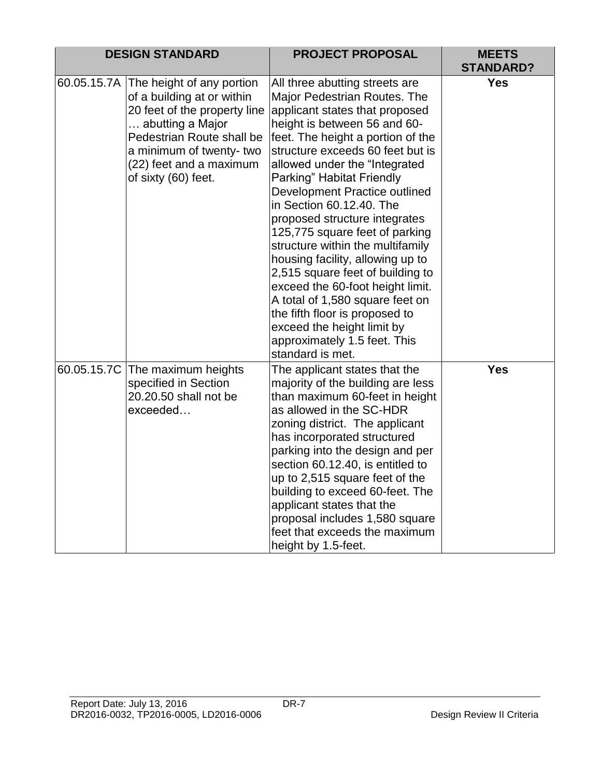|             | <b>DESIGN STANDARD</b>                                                                                                                                                                                                | <b>PROJECT PROPOSAL</b>                                                                                                                                                                                                                                                                                                                                                                                                                                                                                                                                                                                                                                                                                        | <b>MEETS</b><br><b>STANDARD?</b> |
|-------------|-----------------------------------------------------------------------------------------------------------------------------------------------------------------------------------------------------------------------|----------------------------------------------------------------------------------------------------------------------------------------------------------------------------------------------------------------------------------------------------------------------------------------------------------------------------------------------------------------------------------------------------------------------------------------------------------------------------------------------------------------------------------------------------------------------------------------------------------------------------------------------------------------------------------------------------------------|----------------------------------|
| 60.05.15.7A | The height of any portion<br>of a building at or within<br>20 feet of the property line<br>abutting a Major<br>Pedestrian Route shall be<br>a minimum of twenty-two<br>(22) feet and a maximum<br>of sixty (60) feet. | All three abutting streets are<br>Major Pedestrian Routes. The<br>applicant states that proposed<br>height is between 56 and 60-<br>feet. The height a portion of the<br>structure exceeds 60 feet but is<br>allowed under the "Integrated<br>Parking" Habitat Friendly<br>Development Practice outlined<br>in Section 60.12.40. The<br>proposed structure integrates<br>125,775 square feet of parking<br>structure within the multifamily<br>housing facility, allowing up to<br>2,515 square feet of building to<br>exceed the 60-foot height limit.<br>A total of 1,580 square feet on<br>the fifth floor is proposed to<br>exceed the height limit by<br>approximately 1.5 feet. This<br>standard is met. | <b>Yes</b>                       |
|             | 60.05.15.7C The maximum heights<br>specified in Section<br>20.20.50 shall not be<br>exceeded                                                                                                                          | The applicant states that the<br>majority of the building are less<br>than maximum 60-feet in height<br>as allowed in the SC-HDR<br>zoning district. The applicant<br>has incorporated structured<br>parking into the design and per<br>section 60.12.40, is entitled to<br>up to 2,515 square feet of the<br>building to exceed 60-feet. The<br>applicant states that the<br>proposal includes 1,580 square<br>feet that exceeds the maximum<br>height by 1.5-feet.                                                                                                                                                                                                                                           | <b>Yes</b>                       |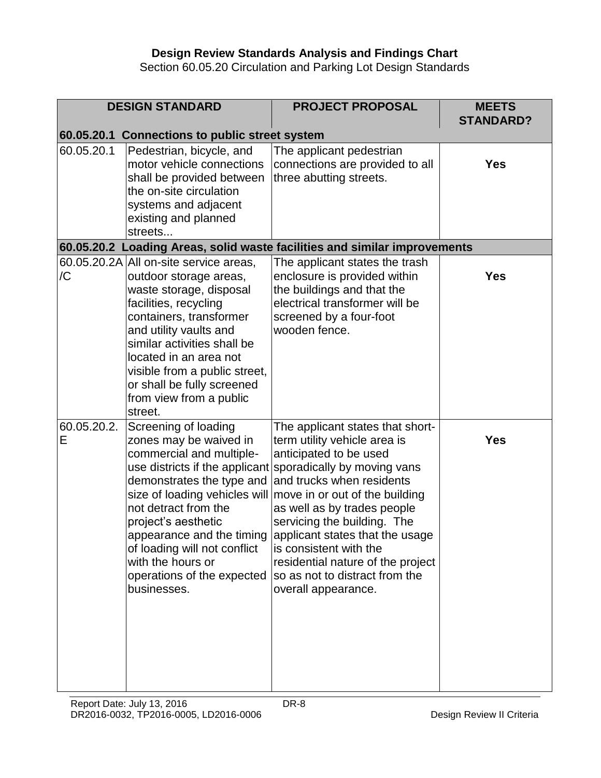## **Design Review Standards Analysis and Findings Chart**

Section 60.05.20 Circulation and Parking Lot Design Standards

|                  | <b>DESIGN STANDARD</b>                                                                                                                                                                                                                                                                                                                  | <b>PROJECT PROPOSAL</b>                                                                                                                                                                                                                                                                                                                                                                                                                     | <b>MEETS</b><br><b>STANDARD?</b> |
|------------------|-----------------------------------------------------------------------------------------------------------------------------------------------------------------------------------------------------------------------------------------------------------------------------------------------------------------------------------------|---------------------------------------------------------------------------------------------------------------------------------------------------------------------------------------------------------------------------------------------------------------------------------------------------------------------------------------------------------------------------------------------------------------------------------------------|----------------------------------|
|                  | 60.05.20.1 Connections to public street system                                                                                                                                                                                                                                                                                          |                                                                                                                                                                                                                                                                                                                                                                                                                                             |                                  |
| 60.05.20.1       | Pedestrian, bicycle, and<br>motor vehicle connections<br>shall be provided between<br>the on-site circulation<br>systems and adjacent<br>existing and planned<br>streets                                                                                                                                                                | The applicant pedestrian<br>connections are provided to all<br>three abutting streets.                                                                                                                                                                                                                                                                                                                                                      | <b>Yes</b>                       |
|                  |                                                                                                                                                                                                                                                                                                                                         | 60.05.20.2 Loading Areas, solid waste facilities and similar improvements                                                                                                                                                                                                                                                                                                                                                                   |                                  |
| /C               | 60.05.20.2A All on-site service areas,<br>outdoor storage areas,<br>waste storage, disposal<br>facilities, recycling<br>containers, transformer<br>and utility vaults and<br>similar activities shall be<br>located in an area not<br>visible from a public street,<br>or shall be fully screened<br>from view from a public<br>street. | The applicant states the trash<br>enclosure is provided within<br>the buildings and that the<br>electrical transformer will be<br>screened by a four-foot<br>wooden fence.                                                                                                                                                                                                                                                                  | <b>Yes</b>                       |
| 60.05.20.2.<br>Е | Screening of loading<br>zones may be waived in<br>commercial and multiple-<br>use districts if the applicant<br>demonstrates the type and<br>size of loading vehicles will<br>not detract from the<br>project's aesthetic<br>of loading will not conflict<br>with the hours or<br>operations of the expected<br>businesses.             | The applicant states that short-<br>term utility vehicle area is<br>anticipated to be used<br>sporadically by moving vans<br>and trucks when residents<br>move in or out of the building<br>as well as by trades people<br>servicing the building. The<br>appearance and the timing applicant states that the usage<br>is consistent with the<br>residential nature of the project<br>so as not to distract from the<br>overall appearance. | <b>Yes</b>                       |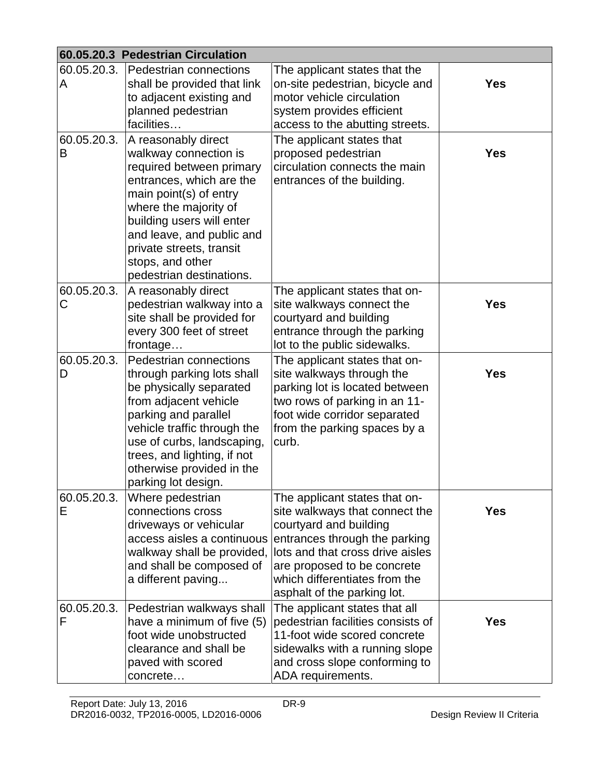|             | 60.05.20.3 Pedestrian Circulation                |                                                                 |            |
|-------------|--------------------------------------------------|-----------------------------------------------------------------|------------|
| 60.05.20.3. | Pedestrian connections                           | The applicant states that the                                   |            |
| A           | shall be provided that link                      | on-site pedestrian, bicycle and                                 | <b>Yes</b> |
|             | to adjacent existing and                         | motor vehicle circulation                                       |            |
|             | planned pedestrian                               | system provides efficient                                       |            |
|             | facilities                                       | access to the abutting streets.                                 |            |
| 60.05.20.3. | A reasonably direct                              | The applicant states that                                       |            |
| B           | walkway connection is                            | proposed pedestrian                                             | <b>Yes</b> |
|             | required between primary                         | circulation connects the main                                   |            |
|             | entrances, which are the                         | entrances of the building.                                      |            |
|             | main point(s) of entry                           |                                                                 |            |
|             | where the majority of                            |                                                                 |            |
|             | building users will enter                        |                                                                 |            |
|             | and leave, and public and                        |                                                                 |            |
|             | private streets, transit                         |                                                                 |            |
|             | stops, and other                                 |                                                                 |            |
|             | pedestrian destinations.                         |                                                                 |            |
| 60.05.20.3. | A reasonably direct                              | The applicant states that on-                                   |            |
| С           | pedestrian walkway into a                        | site walkways connect the                                       | <b>Yes</b> |
|             | site shall be provided for                       | courtyard and building                                          |            |
|             | every 300 feet of street<br>frontage             | entrance through the parking<br>lot to the public sidewalks.    |            |
|             |                                                  |                                                                 |            |
| 60.05.20.3. | Pedestrian connections                           | The applicant states that on-                                   | <b>Yes</b> |
| D           | through parking lots shall                       | site walkways through the                                       |            |
|             | be physically separated<br>from adjacent vehicle | parking lot is located between<br>two rows of parking in an 11- |            |
|             | parking and parallel                             | foot wide corridor separated                                    |            |
|             | vehicle traffic through the                      | from the parking spaces by a                                    |            |
|             | use of curbs, landscaping,                       | curb.                                                           |            |
|             | trees, and lighting, if not                      |                                                                 |            |
|             | otherwise provided in the                        |                                                                 |            |
|             | parking lot design.                              |                                                                 |            |
| 60.05.20.3. | Where pedestrian                                 | The applicant states that on-                                   |            |
| Е           | connections cross                                | site walkways that connect the                                  | <b>Yes</b> |
|             | driveways or vehicular                           | courtyard and building                                          |            |
|             | access aisles a continuous                       | entrances through the parking                                   |            |
|             | walkway shall be provided,                       | lots and that cross drive aisles                                |            |
|             | and shall be composed of                         | are proposed to be concrete                                     |            |
|             | a different paving                               | which differentiates from the                                   |            |
|             |                                                  | asphalt of the parking lot.                                     |            |
| 60.05.20.3. | Pedestrian walkways shall                        | The applicant states that all                                   |            |
| F           | have a minimum of five (5)                       | pedestrian facilities consists of                               | <b>Yes</b> |
|             | foot wide unobstructed                           | 11-foot wide scored concrete                                    |            |
|             | clearance and shall be                           | sidewalks with a running slope                                  |            |
|             | paved with scored                                | and cross slope conforming to                                   |            |
|             | concrete                                         | ADA requirements.                                               |            |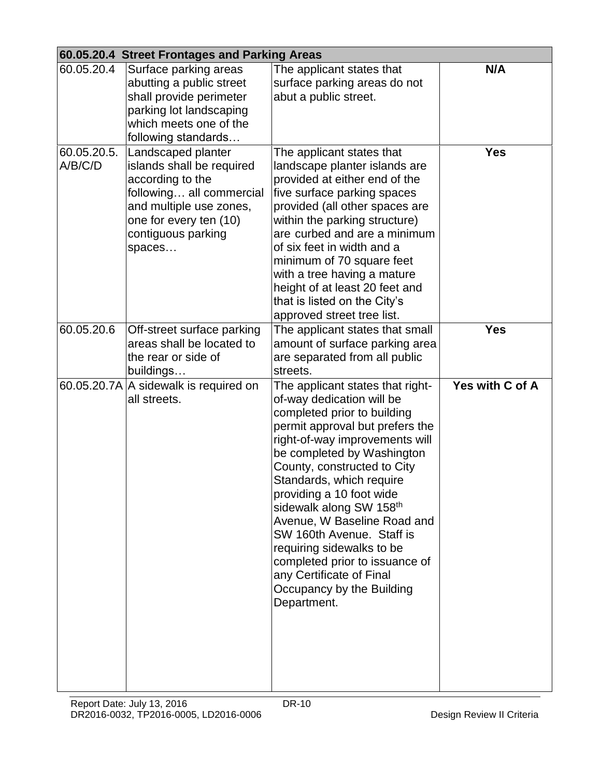|                        | 60.05.20.4 Street Frontages and Parking Areas                                                                                                                                        |                                                                                                                                                                                                                                                                                                                                                                                                                                                                                                                      |                 |
|------------------------|--------------------------------------------------------------------------------------------------------------------------------------------------------------------------------------|----------------------------------------------------------------------------------------------------------------------------------------------------------------------------------------------------------------------------------------------------------------------------------------------------------------------------------------------------------------------------------------------------------------------------------------------------------------------------------------------------------------------|-----------------|
| 60.05.20.4             | Surface parking areas<br>abutting a public street<br>shall provide perimeter<br>parking lot landscaping<br>which meets one of the<br>following standards                             | The applicant states that<br>surface parking areas do not<br>abut a public street.                                                                                                                                                                                                                                                                                                                                                                                                                                   | N/A             |
| 60.05.20.5.<br>A/B/C/D | Landscaped planter<br>islands shall be required<br>according to the<br>following all commercial<br>and multiple use zones,<br>one for every ten (10)<br>contiguous parking<br>spaces | The applicant states that<br>landscape planter islands are<br>provided at either end of the<br>five surface parking spaces<br>provided (all other spaces are<br>within the parking structure)<br>are curbed and are a minimum<br>of six feet in width and a<br>minimum of 70 square feet<br>with a tree having a mature<br>height of at least 20 feet and<br>that is listed on the City's<br>approved street tree list.                                                                                              | <b>Yes</b>      |
| 60.05.20.6             | Off-street surface parking<br>areas shall be located to<br>the rear or side of<br>buildings                                                                                          | The applicant states that small<br>amount of surface parking area<br>are separated from all public<br>streets.                                                                                                                                                                                                                                                                                                                                                                                                       | <b>Yes</b>      |
|                        | 60.05.20.7A A sidewalk is required on<br>all streets.                                                                                                                                | The applicant states that right-<br>of-way dedication will be<br>completed prior to building<br>permit approval but prefers the<br>right-of-way improvements will<br>be completed by Washington<br>County, constructed to City<br>Standards, which require<br>providing a 10 foot wide<br>sidewalk along SW 158th<br>Avenue, W Baseline Road and<br>SW 160th Avenue. Staff is<br>requiring sidewalks to be<br>completed prior to issuance of<br>any Certificate of Final<br>Occupancy by the Building<br>Department. | Yes with C of A |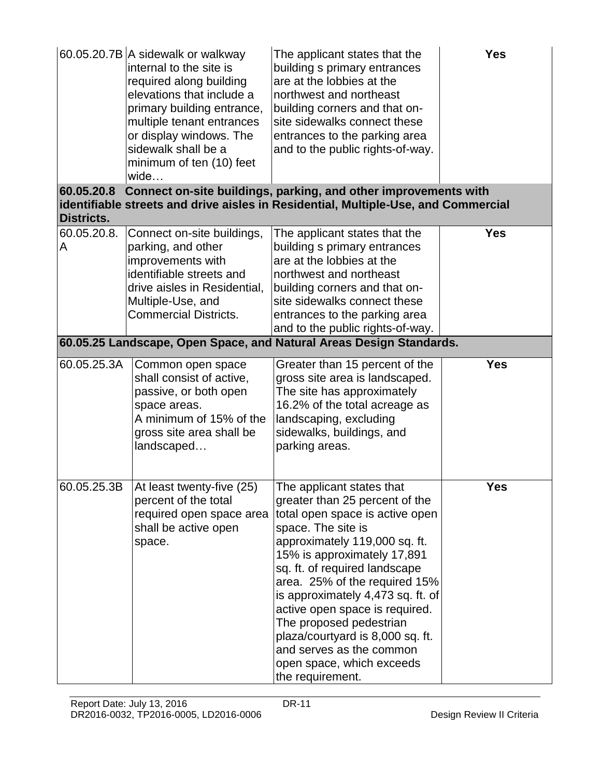|                          | 60.05.20.7B A sidewalk or walkway<br>internal to the site is<br>required along building<br>elevations that include a<br>primary building entrance,<br>multiple tenant entrances<br>or display windows. The<br>sidewalk shall be a<br>minimum of ten (10) feet<br>wide | The applicant states that the<br>building s primary entrances<br>are at the lobbies at the<br>northwest and northeast<br>building corners and that on-<br>site sidewalks connect these<br>entrances to the parking area<br>and to the public rights-of-way.                                                                                                                                                                                                               | <b>Yes</b> |
|--------------------------|-----------------------------------------------------------------------------------------------------------------------------------------------------------------------------------------------------------------------------------------------------------------------|---------------------------------------------------------------------------------------------------------------------------------------------------------------------------------------------------------------------------------------------------------------------------------------------------------------------------------------------------------------------------------------------------------------------------------------------------------------------------|------------|
| 60.05.20.8<br>Districts. |                                                                                                                                                                                                                                                                       | Connect on-site buildings, parking, and other improvements with<br>identifiable streets and drive aisles in Residential, Multiple-Use, and Commercial                                                                                                                                                                                                                                                                                                                     |            |
| 60.05.20.8.<br>A         | Connect on-site buildings,<br>parking, and other<br>improvements with<br>identifiable streets and<br>drive aisles in Residential,<br>Multiple-Use, and<br><b>Commercial Districts.</b>                                                                                | The applicant states that the<br>building s primary entrances<br>are at the lobbies at the<br>northwest and northeast<br>building corners and that on-<br>site sidewalks connect these<br>entrances to the parking area<br>and to the public rights-of-way.                                                                                                                                                                                                               | <b>Yes</b> |
|                          |                                                                                                                                                                                                                                                                       | 60.05.25 Landscape, Open Space, and Natural Areas Design Standards.                                                                                                                                                                                                                                                                                                                                                                                                       |            |
| 60.05.25.3A              | Common open space<br>shall consist of active,<br>passive, or both open<br>space areas.<br>A minimum of 15% of the<br>gross site area shall be<br>landscaped                                                                                                           | Greater than 15 percent of the<br>gross site area is landscaped.<br>The site has approximately<br>16.2% of the total acreage as<br>landscaping, excluding<br>sidewalks, buildings, and<br>parking areas.                                                                                                                                                                                                                                                                  | <b>Yes</b> |
| 60.05.25.3B              | At least twenty-five (25)<br>percent of the total<br>required open space area<br>shall be active open<br>space.                                                                                                                                                       | The applicant states that<br>greater than 25 percent of the<br>total open space is active open<br>space. The site is<br>approximately 119,000 sq. ft.<br>15% is approximately 17,891<br>sq. ft. of required landscape<br>area. 25% of the required 15%<br>is approximately 4,473 sq. ft. of<br>active open space is required.<br>The proposed pedestrian<br>plaza/courtyard is 8,000 sq. ft.<br>and serves as the common<br>open space, which exceeds<br>the requirement. | <b>Yes</b> |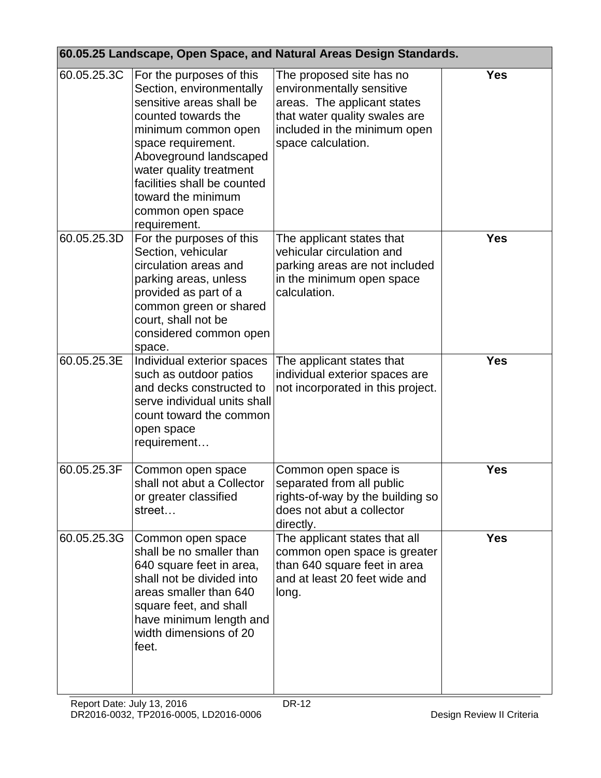|             | 60.05.25 Landscape, Open Space, and Natural Areas Design Standards.                                                                                                                                                                                                                                 |                                                                                                                                                                             |            |  |  |
|-------------|-----------------------------------------------------------------------------------------------------------------------------------------------------------------------------------------------------------------------------------------------------------------------------------------------------|-----------------------------------------------------------------------------------------------------------------------------------------------------------------------------|------------|--|--|
| 60.05.25.3C | For the purposes of this<br>Section, environmentally<br>sensitive areas shall be<br>counted towards the<br>minimum common open<br>space requirement.<br>Aboveground landscaped<br>water quality treatment<br>facilities shall be counted<br>toward the minimum<br>common open space<br>requirement. | The proposed site has no<br>environmentally sensitive<br>areas. The applicant states<br>that water quality swales are<br>included in the minimum open<br>space calculation. | <b>Yes</b> |  |  |
| 60.05.25.3D | For the purposes of this<br>Section, vehicular<br>circulation areas and<br>parking areas, unless<br>provided as part of a<br>common green or shared<br>court, shall not be<br>considered common open<br>space.                                                                                      | The applicant states that<br>vehicular circulation and<br>parking areas are not included<br>in the minimum open space<br>calculation.                                       | <b>Yes</b> |  |  |
| 60.05.25.3E | Individual exterior spaces<br>such as outdoor patios<br>and decks constructed to<br>serve individual units shall<br>count toward the common<br>open space<br>requirement                                                                                                                            | The applicant states that<br>individual exterior spaces are<br>not incorporated in this project.                                                                            | <b>Yes</b> |  |  |
| 60.05.25.3F | Common open space<br>shall not abut a Collector<br>or greater classified<br>street                                                                                                                                                                                                                  | Common open space is<br>separated from all public<br>rights-of-way by the building so<br>does not abut a collector<br>directly.                                             | <b>Yes</b> |  |  |
| 60.05.25.3G | Common open space<br>shall be no smaller than<br>640 square feet in area,<br>shall not be divided into<br>areas smaller than 640<br>square feet, and shall<br>have minimum length and<br>width dimensions of 20<br>feet.                                                                            | The applicant states that all<br>common open space is greater<br>than 640 square feet in area<br>and at least 20 feet wide and<br>long.                                     | <b>Yes</b> |  |  |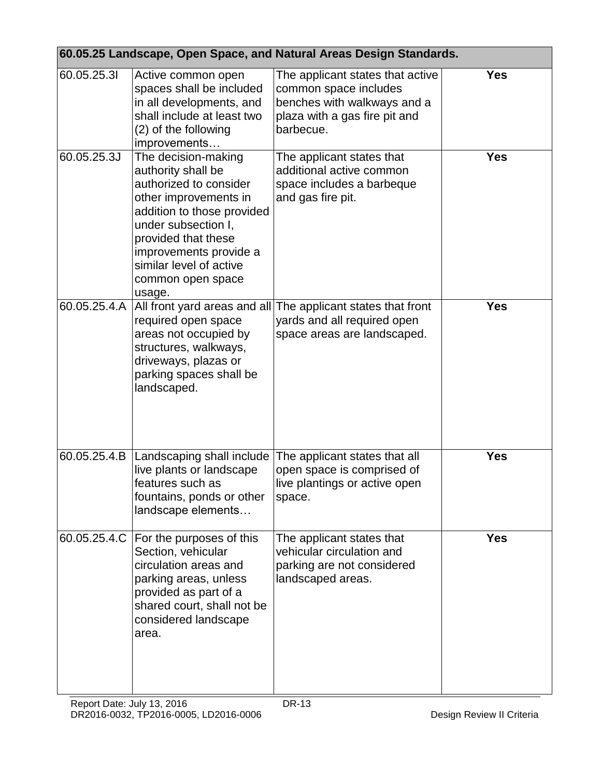| 60.05.25 Landscape, Open Space, and Natural Areas Design Standards. |                                                                                                                                                                                                                                                              |                                                                                                                                        |            |
|---------------------------------------------------------------------|--------------------------------------------------------------------------------------------------------------------------------------------------------------------------------------------------------------------------------------------------------------|----------------------------------------------------------------------------------------------------------------------------------------|------------|
| 60.05.25.31                                                         | Active common open<br>spaces shall be included<br>in all developments, and<br>shall include at least two<br>(2) of the following<br>improvements                                                                                                             | The applicant states that active<br>common space includes<br>benches with walkways and a<br>plaza with a gas fire pit and<br>barbecue. | <b>Yes</b> |
| 60.05.25.3J                                                         | The decision-making<br>authority shall be<br>authorized to consider<br>other improvements in<br>addition to those provided<br>under subsection I,<br>provided that these<br>improvements provide a<br>similar level of active<br>common open space<br>usage. | The applicant states that<br>additional active common<br>space includes a barbeque<br>and gas fire pit.                                | <b>Yes</b> |
| 60.05.25.4.A                                                        | All front yard areas and all<br>required open space<br>areas not occupied by<br>structures, walkways,<br>driveways, plazas or<br>parking spaces shall be<br>landscaped.                                                                                      | The applicant states that front<br>yards and all required open<br>space areas are landscaped.                                          | <b>Yes</b> |
| 60.05.25.4.B                                                        | Landscaping shall include<br>live plants or landscape<br>features such as<br>fountains, ponds or other<br>landscape elements                                                                                                                                 | The applicant states that all<br>open space is comprised of<br>live plantings or active open<br>space.                                 | <b>Yes</b> |
| 60.05.25.4.C                                                        | For the purposes of this<br>Section, vehicular<br>circulation areas and<br>parking areas, unless<br>provided as part of a<br>shared court, shall not be<br>considered landscape<br>area.                                                                     | The applicant states that<br>vehicular circulation and<br>parking are not considered<br>landscaped areas.                              | <b>Yes</b> |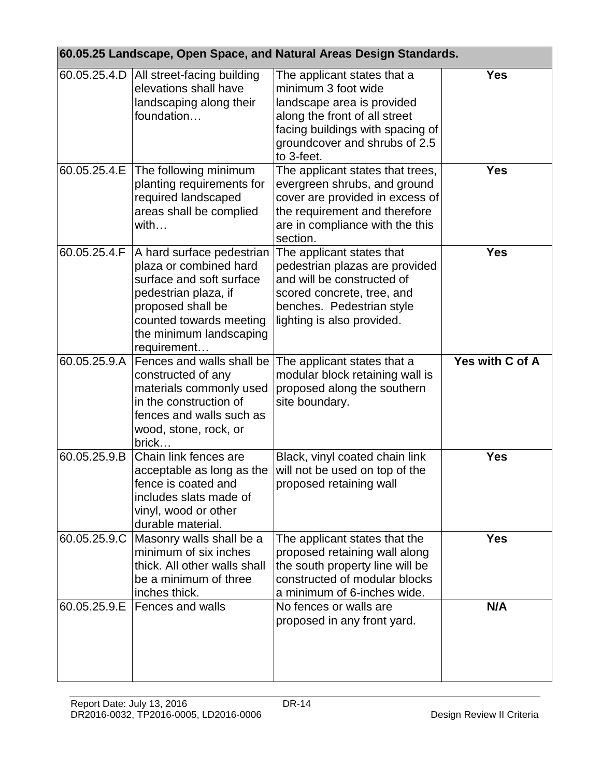| 60.05.25 Landscape, Open Space, and Natural Areas Design Standards. |                                                                                                                                                                                                   |                                                                                                                                                                                                      |                 |
|---------------------------------------------------------------------|---------------------------------------------------------------------------------------------------------------------------------------------------------------------------------------------------|------------------------------------------------------------------------------------------------------------------------------------------------------------------------------------------------------|-----------------|
| 60.05.25.4.D                                                        | All street-facing building<br>elevations shall have<br>landscaping along their<br>foundation                                                                                                      | The applicant states that a<br>minimum 3 foot wide<br>landscape area is provided<br>along the front of all street<br>facing buildings with spacing of<br>groundcover and shrubs of 2.5<br>to 3-feet. | <b>Yes</b>      |
| 60.05.25.4.E                                                        | The following minimum<br>planting requirements for<br>required landscaped<br>areas shall be complied<br>with                                                                                      | The applicant states that trees,<br>evergreen shrubs, and ground<br>cover are provided in excess of<br>the requirement and therefore<br>are in compliance with the this<br>section.                  | <b>Yes</b>      |
| 60.05.25.4.F                                                        | A hard surface pedestrian<br>plaza or combined hard<br>surface and soft surface<br>pedestrian plaza, if<br>proposed shall be<br>counted towards meeting<br>the minimum landscaping<br>requirement | The applicant states that<br>pedestrian plazas are provided<br>and will be constructed of<br>scored concrete, tree, and<br>benches. Pedestrian style<br>lighting is also provided.                   | <b>Yes</b>      |
| 60.05.25.9.A                                                        | Fences and walls shall be<br>constructed of any<br>materials commonly used<br>in the construction of<br>fences and walls such as<br>wood, stone, rock, or<br>brick                                | The applicant states that a<br>modular block retaining wall is<br>proposed along the southern<br>site boundary.                                                                                      | Yes with C of A |
| 60.05.25.9.B                                                        | Chain link fences are<br>acceptable as long as the<br>fence is coated and<br>includes slats made of<br>vinyl, wood or other<br>durable material.                                                  | Black, vinyl coated chain link<br>will not be used on top of the<br>proposed retaining wall                                                                                                          | <b>Yes</b>      |
| 60.05.25.9.C                                                        | Masonry walls shall be a<br>minimum of six inches<br>thick. All other walls shall<br>be a minimum of three<br>inches thick.                                                                       | The applicant states that the<br>proposed retaining wall along<br>the south property line will be<br>constructed of modular blocks<br>a minimum of 6-inches wide.                                    | <b>Yes</b>      |
| 60.05.25.9.E                                                        | Fences and walls                                                                                                                                                                                  | No fences or walls are<br>proposed in any front yard.                                                                                                                                                | N/A             |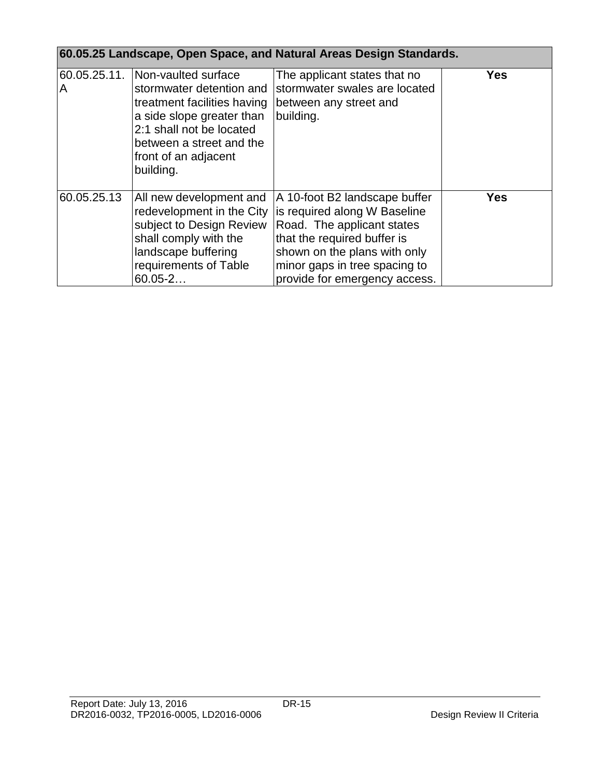| 60.05.25 Landscape, Open Space, and Natural Areas Design Standards. |                                                                                                                                                                                                          |                                                                                                                                                                                                                              |            |
|---------------------------------------------------------------------|----------------------------------------------------------------------------------------------------------------------------------------------------------------------------------------------------------|------------------------------------------------------------------------------------------------------------------------------------------------------------------------------------------------------------------------------|------------|
| 60.05.25.11.<br>A                                                   | Non-vaulted surface<br>stormwater detention and<br>treatment facilities having<br>a side slope greater than<br>2:1 shall not be located<br>between a street and the<br>front of an adjacent<br>building. | The applicant states that no<br>stormwater swales are located<br>between any street and<br>building.                                                                                                                         | Yes        |
| 60.05.25.13                                                         | All new development and<br>redevelopment in the City<br>subject to Design Review<br>shall comply with the<br>landscape buffering<br>requirements of Table<br>$60.05 - 2$                                 | A 10-foot B2 landscape buffer<br>is required along W Baseline<br>Road. The applicant states<br>that the required buffer is<br>shown on the plans with only<br>minor gaps in tree spacing to<br>provide for emergency access. | <b>Yes</b> |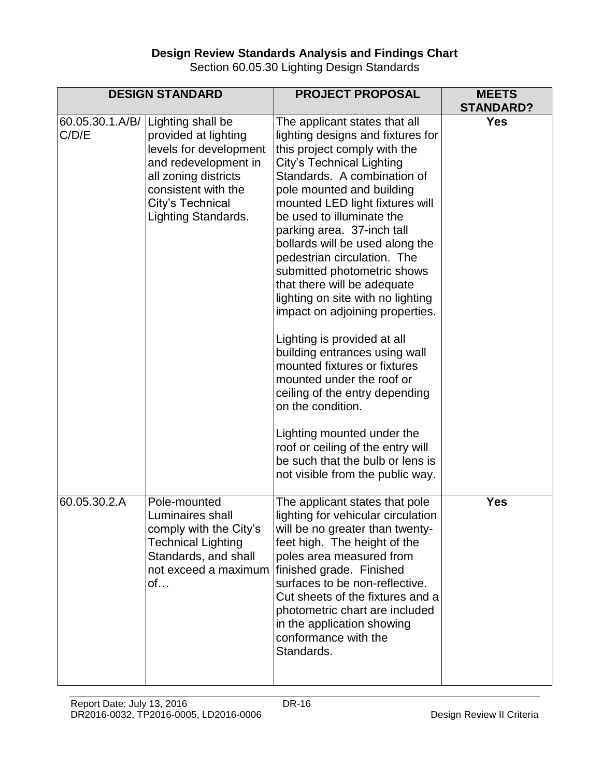## **Design Review Standards Analysis and Findings Chart**

Section 60.05.30 Lighting Design Standards

|              | <b>DESIGN STANDARD</b>                                                                                                                                                                                | <b>PROJECT PROPOSAL</b>                                                                                                                                                                                                                                                                                                                                                                                                                                                                                                                                                                                                                                                                                                                                                                                                          | <b>MEETS</b><br><b>STANDARD?</b> |
|--------------|-------------------------------------------------------------------------------------------------------------------------------------------------------------------------------------------------------|----------------------------------------------------------------------------------------------------------------------------------------------------------------------------------------------------------------------------------------------------------------------------------------------------------------------------------------------------------------------------------------------------------------------------------------------------------------------------------------------------------------------------------------------------------------------------------------------------------------------------------------------------------------------------------------------------------------------------------------------------------------------------------------------------------------------------------|----------------------------------|
| C/D/E        | 60.05.30.1.A/B/ Lighting shall be<br>provided at lighting<br>levels for development<br>and redevelopment in<br>all zoning districts<br>consistent with the<br>City's Technical<br>Lighting Standards. | The applicant states that all<br>lighting designs and fixtures for<br>this project comply with the<br>City's Technical Lighting<br>Standards. A combination of<br>pole mounted and building<br>mounted LED light fixtures will<br>be used to illuminate the<br>parking area. 37-inch tall<br>bollards will be used along the<br>pedestrian circulation. The<br>submitted photometric shows<br>that there will be adequate<br>lighting on site with no lighting<br>impact on adjoining properties.<br>Lighting is provided at all<br>building entrances using wall<br>mounted fixtures or fixtures<br>mounted under the roof or<br>ceiling of the entry depending<br>on the condition.<br>Lighting mounted under the<br>roof or ceiling of the entry will<br>be such that the bulb or lens is<br>not visible from the public way. | <b>Yes</b>                       |
| 60.05.30.2.A | Pole-mounted<br>Luminaires shall<br>comply with the City's<br><b>Technical Lighting</b><br>Standards, and shall<br>not exceed a maximum<br>of                                                         | The applicant states that pole<br>lighting for vehicular circulation<br>will be no greater than twenty-<br>feet high. The height of the<br>poles area measured from<br>finished grade. Finished<br>surfaces to be non-reflective.<br>Cut sheets of the fixtures and a<br>photometric chart are included<br>in the application showing<br>conformance with the<br>Standards.                                                                                                                                                                                                                                                                                                                                                                                                                                                      | <b>Yes</b>                       |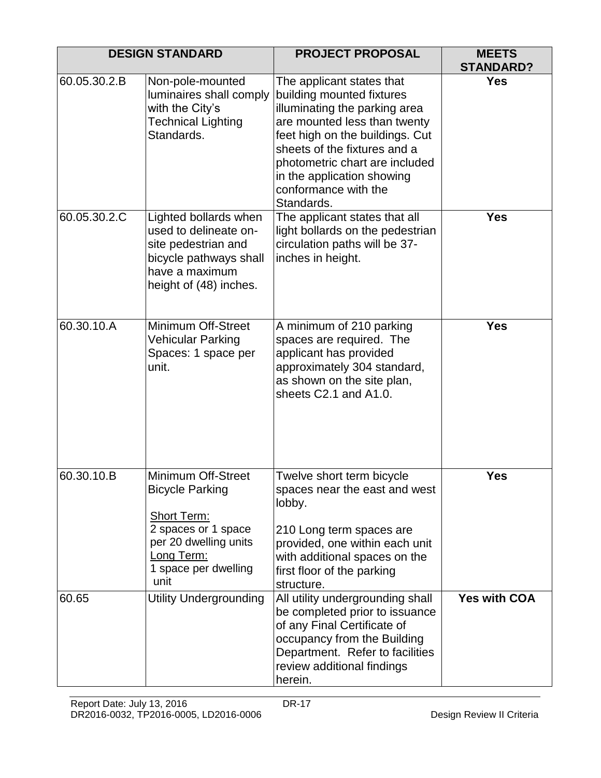|              | <b>DESIGN STANDARD</b>                                                                                                                                           | <b>PROJECT PROPOSAL</b>                                                                                                                                                                                                                                                                          | <b>MEETS</b><br><b>STANDARD?</b> |
|--------------|------------------------------------------------------------------------------------------------------------------------------------------------------------------|--------------------------------------------------------------------------------------------------------------------------------------------------------------------------------------------------------------------------------------------------------------------------------------------------|----------------------------------|
| 60.05.30.2.B | Non-pole-mounted<br>luminaires shall comply<br>with the City's<br><b>Technical Lighting</b><br>Standards.                                                        | The applicant states that<br>building mounted fixtures<br>illuminating the parking area<br>are mounted less than twenty<br>feet high on the buildings. Cut<br>sheets of the fixtures and a<br>photometric chart are included<br>in the application showing<br>conformance with the<br>Standards. | <b>Yes</b>                       |
| 60.05.30.2.C | Lighted bollards when<br>used to delineate on-<br>site pedestrian and<br>bicycle pathways shall<br>have a maximum<br>height of (48) inches.                      | The applicant states that all<br>light bollards on the pedestrian<br>circulation paths will be 37-<br>inches in height.                                                                                                                                                                          | <b>Yes</b>                       |
| 60.30.10.A   | Minimum Off-Street<br>Vehicular Parking<br>Spaces: 1 space per<br>unit.                                                                                          | A minimum of 210 parking<br>spaces are required. The<br>applicant has provided<br>approximately 304 standard,<br>as shown on the site plan,<br>sheets C2.1 and A1.0.                                                                                                                             | <b>Yes</b>                       |
| 60.30.10.B   | Minimum Off-Street<br><b>Bicycle Parking</b><br><b>Short Term:</b><br>2 spaces or 1 space<br>per 20 dwelling units<br>Long Term:<br>1 space per dwelling<br>unit | Twelve short term bicycle<br>spaces near the east and west<br>lobby.<br>210 Long term spaces are<br>provided, one within each unit<br>with additional spaces on the<br>first floor of the parking<br>structure.                                                                                  | <b>Yes</b>                       |
| 60.65        | <b>Utility Undergrounding</b>                                                                                                                                    | All utility undergrounding shall<br>be completed prior to issuance<br>of any Final Certificate of<br>occupancy from the Building<br>Department. Refer to facilities<br>review additional findings<br>herein.                                                                                     | <b>Yes with COA</b>              |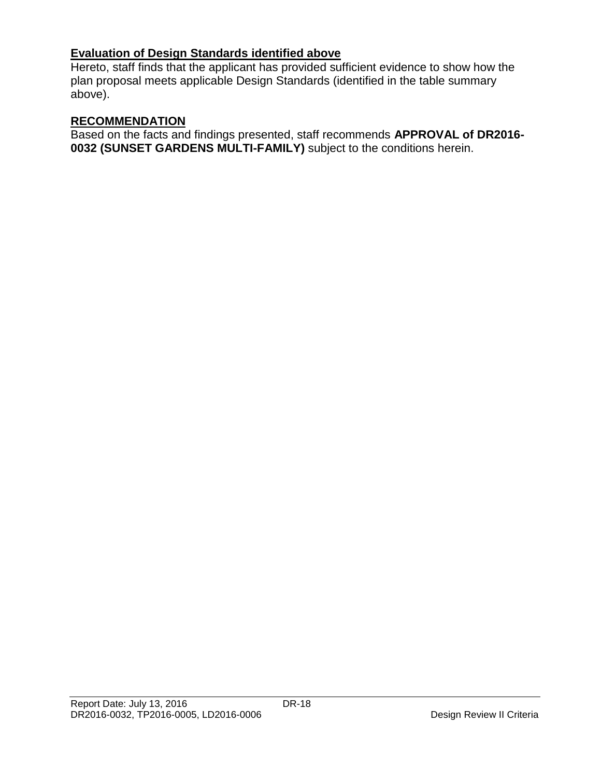# **Evaluation of Design Standards identified above**

Hereto, staff finds that the applicant has provided sufficient evidence to show how the plan proposal meets applicable Design Standards (identified in the table summary above).

# **RECOMMENDATION**

Based on the facts and findings presented, staff recommends **APPROVAL of DR2016- 0032 (SUNSET GARDENS MULTI-FAMILY)** subject to the conditions herein.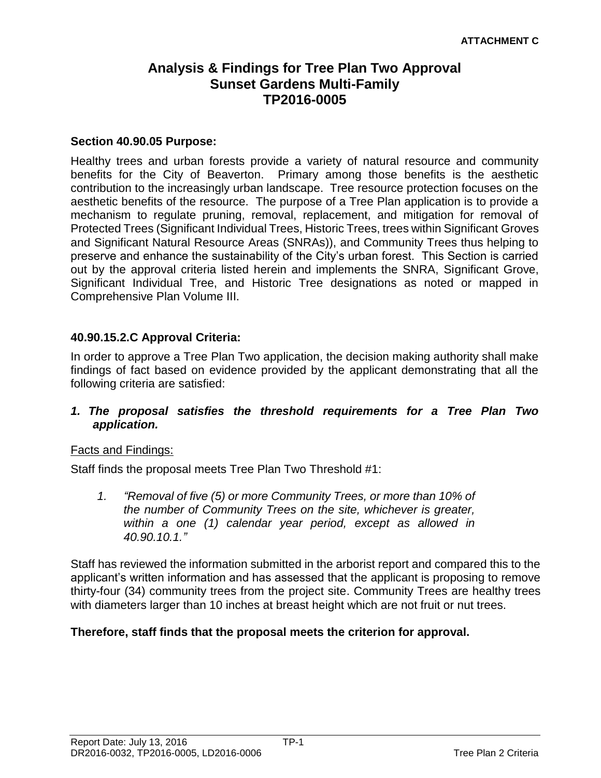# **Analysis & Findings for Tree Plan Two Approval Sunset Gardens Multi-Family TP2016-0005**

#### **Section 40.90.05 Purpose:**

Healthy trees and urban forests provide a variety of natural resource and community benefits for the City of Beaverton. Primary among those benefits is the aesthetic contribution to the increasingly urban landscape. Tree resource protection focuses on the aesthetic benefits of the resource. The purpose of a Tree Plan application is to provide a mechanism to regulate pruning, removal, replacement, and mitigation for removal of Protected Trees (Significant Individual Trees, Historic Trees, trees within Significant Groves and Significant Natural Resource Areas (SNRAs)), and Community Trees thus helping to preserve and enhance the sustainability of the City's urban forest. This Section is carried out by the approval criteria listed herein and implements the SNRA, Significant Grove, Significant Individual Tree, and Historic Tree designations as noted or mapped in Comprehensive Plan Volume III.

## **40.90.15.2.C Approval Criteria:**

In order to approve a Tree Plan Two application, the decision making authority shall make findings of fact based on evidence provided by the applicant demonstrating that all the following criteria are satisfied:

## *1. The proposal satisfies the threshold requirements for a Tree Plan Two application.*

#### Facts and Findings:

Staff finds the proposal meets Tree Plan Two Threshold #1:

*1. "Removal of five (5) or more Community Trees, or more than 10% of the number of Community Trees on the site, whichever is greater, within a one (1) calendar year period, except as allowed in 40.90.10.1."* 

Staff has reviewed the information submitted in the arborist report and compared this to the applicant's written information and has assessed that the applicant is proposing to remove thirty-four (34) community trees from the project site. Community Trees are healthy trees with diameters larger than 10 inches at breast height which are not fruit or nut trees.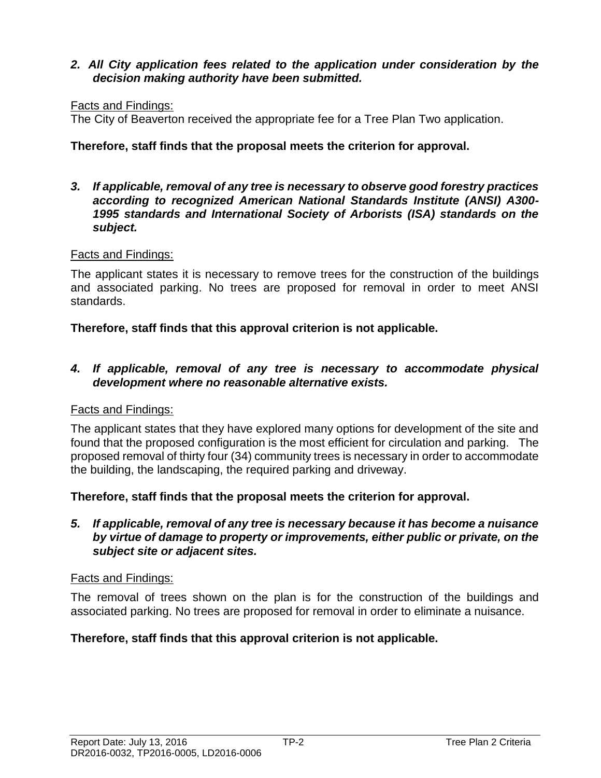# *2. All City application fees related to the application under consideration by the decision making authority have been submitted.*

#### Facts and Findings:

The City of Beaverton received the appropriate fee for a Tree Plan Two application.

## **Therefore, staff finds that the proposal meets the criterion for approval.**

*3. If applicable, removal of any tree is necessary to observe good forestry practices according to recognized American National Standards Institute (ANSI) A300- 1995 standards and International Society of Arborists (ISA) standards on the subject.*

## Facts and Findings:

The applicant states it is necessary to remove trees for the construction of the buildings and associated parking. No trees are proposed for removal in order to meet ANSI standards.

## **Therefore, staff finds that this approval criterion is not applicable.**

## *4. If applicable, removal of any tree is necessary to accommodate physical development where no reasonable alternative exists.*

#### Facts and Findings:

The applicant states that they have explored many options for development of the site and found that the proposed configuration is the most efficient for circulation and parking. The proposed removal of thirty four (34) community trees is necessary in order to accommodate the building, the landscaping, the required parking and driveway.

#### **Therefore, staff finds that the proposal meets the criterion for approval.**

#### *5. If applicable, removal of any tree is necessary because it has become a nuisance by virtue of damage to property or improvements, either public or private, on the subject site or adjacent sites.*

#### Facts and Findings:

The removal of trees shown on the plan is for the construction of the buildings and associated parking. No trees are proposed for removal in order to eliminate a nuisance.

# **Therefore, staff finds that this approval criterion is not applicable.**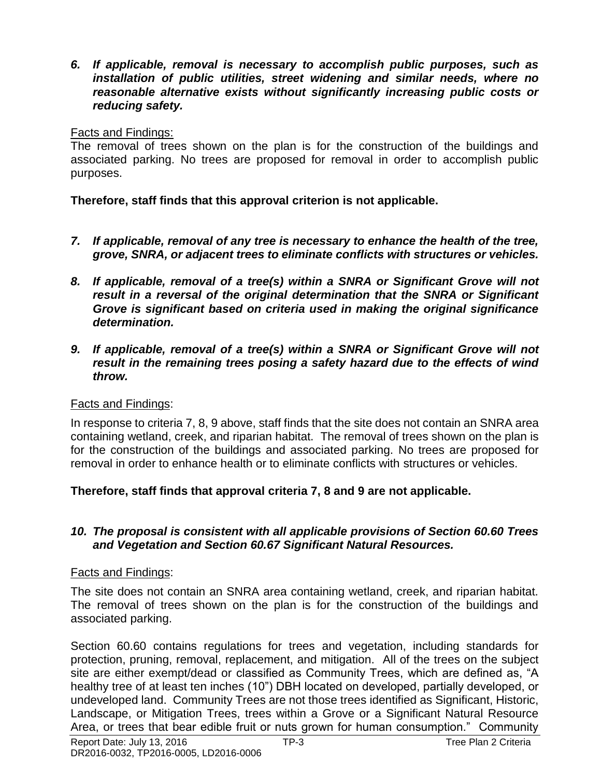*6. If applicable, removal is necessary to accomplish public purposes, such as installation of public utilities, street widening and similar needs, where no reasonable alternative exists without significantly increasing public costs or reducing safety.*

# Facts and Findings:

The removal of trees shown on the plan is for the construction of the buildings and associated parking. No trees are proposed for removal in order to accomplish public purposes.

**Therefore, staff finds that this approval criterion is not applicable.**

- *7. If applicable, removal of any tree is necessary to enhance the health of the tree, grove, SNRA, or adjacent trees to eliminate conflicts with structures or vehicles.*
- *8. If applicable, removal of a tree(s) within a SNRA or Significant Grove will not result in a reversal of the original determination that the SNRA or Significant Grove is significant based on criteria used in making the original significance determination.*
- *9. If applicable, removal of a tree(s) within a SNRA or Significant Grove will not result in the remaining trees posing a safety hazard due to the effects of wind throw.*

# Facts and Findings:

In response to criteria 7, 8, 9 above, staff finds that the site does not contain an SNRA area containing wetland, creek, and riparian habitat. The removal of trees shown on the plan is for the construction of the buildings and associated parking. No trees are proposed for removal in order to enhance health or to eliminate conflicts with structures or vehicles.

# **Therefore, staff finds that approval criteria 7, 8 and 9 are not applicable.**

# *10. The proposal is consistent with all applicable provisions of Section 60.60 Trees and Vegetation and Section 60.67 Significant Natural Resources.*

# Facts and Findings:

The site does not contain an SNRA area containing wetland, creek, and riparian habitat. The removal of trees shown on the plan is for the construction of the buildings and associated parking.

Section 60.60 contains regulations for trees and vegetation, including standards for protection, pruning, removal, replacement, and mitigation. All of the trees on the subject site are either exempt/dead or classified as Community Trees, which are defined as, "A healthy tree of at least ten inches (10") DBH located on developed, partially developed, or undeveloped land. Community Trees are not those trees identified as Significant, Historic, Landscape, or Mitigation Trees, trees within a Grove or a Significant Natural Resource Area, or trees that bear edible fruit or nuts grown for human consumption." Community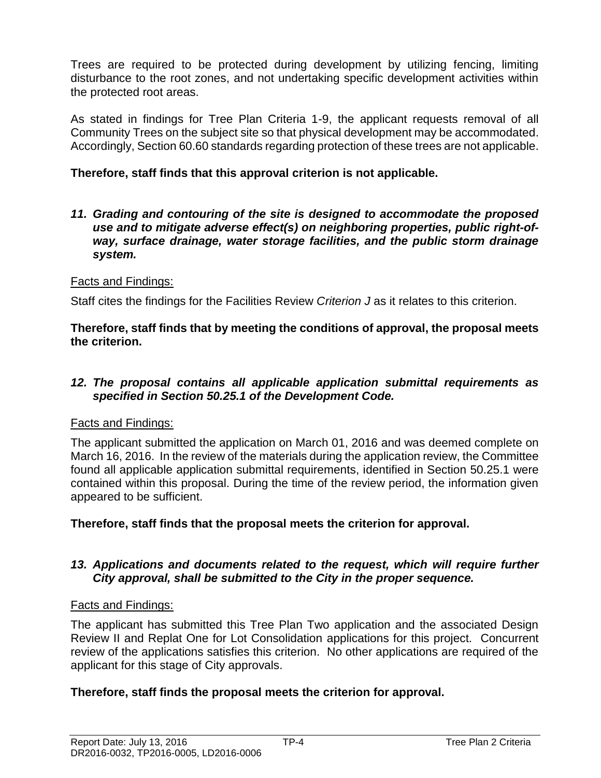Trees are required to be protected during development by utilizing fencing, limiting disturbance to the root zones, and not undertaking specific development activities within the protected root areas.

As stated in findings for Tree Plan Criteria 1-9, the applicant requests removal of all Community Trees on the subject site so that physical development may be accommodated. Accordingly, Section 60.60 standards regarding protection of these trees are not applicable.

# **Therefore, staff finds that this approval criterion is not applicable.**

*11. Grading and contouring of the site is designed to accommodate the proposed use and to mitigate adverse effect(s) on neighboring properties, public right-ofway, surface drainage, water storage facilities, and the public storm drainage system.*

# Facts and Findings:

Staff cites the findings for the Facilities Review *Criterion J* as it relates to this criterion.

**Therefore, staff finds that by meeting the conditions of approval, the proposal meets the criterion.** 

## *12. The proposal contains all applicable application submittal requirements as specified in Section 50.25.1 of the Development Code.*

# Facts and Findings:

The applicant submitted the application on March 01, 2016 and was deemed complete on March 16, 2016. In the review of the materials during the application review, the Committee found all applicable application submittal requirements, identified in Section 50.25.1 were contained within this proposal. During the time of the review period, the information given appeared to be sufficient.

# **Therefore, staff finds that the proposal meets the criterion for approval.**

# *13. Applications and documents related to the request, which will require further City approval, shall be submitted to the City in the proper sequence.*

# Facts and Findings:

The applicant has submitted this Tree Plan Two application and the associated Design Review II and Replat One for Lot Consolidation applications for this project. Concurrent review of the applications satisfies this criterion. No other applications are required of the applicant for this stage of City approvals.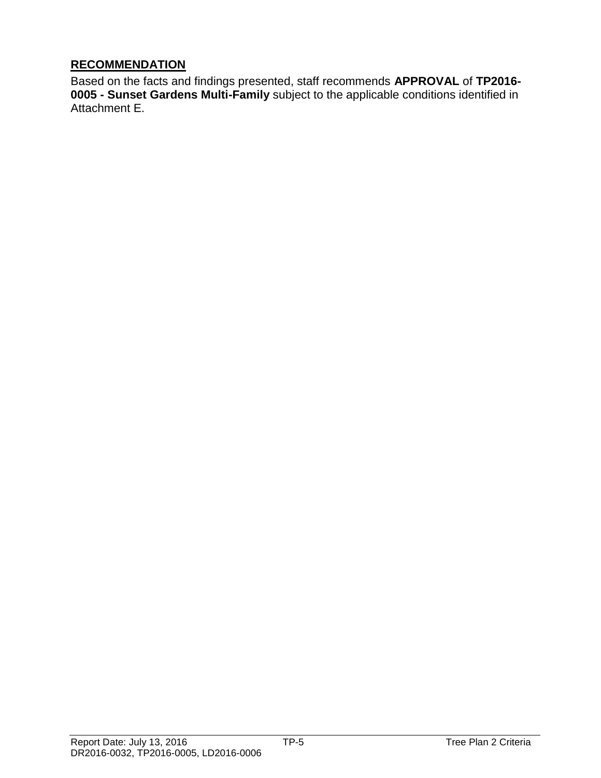# **RECOMMENDATION**

Based on the facts and findings presented, staff recommends **APPROVAL** of **TP2016- 0005 - Sunset Gardens Multi-Family** subject to the applicable conditions identified in Attachment E.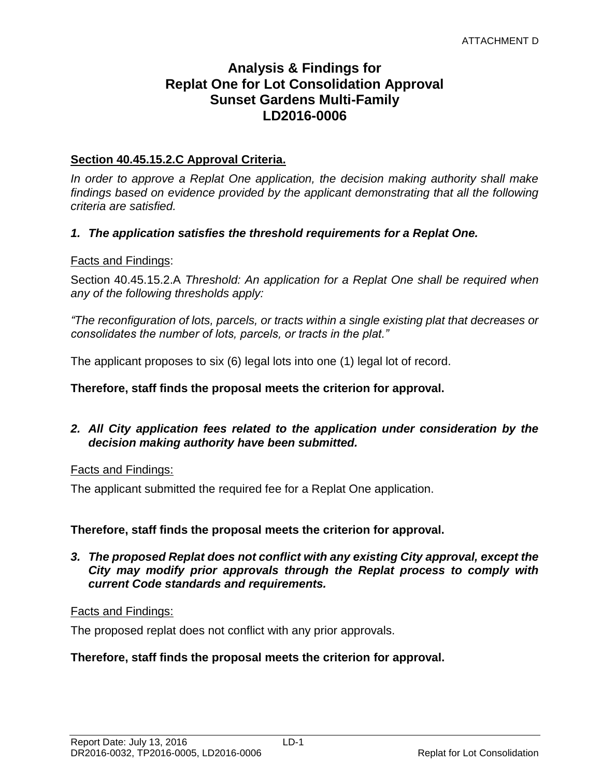# **Analysis & Findings for Replat One for Lot Consolidation Approval Sunset Gardens Multi-Family LD2016-0006**

## **Section 40.45.15.2.C Approval Criteria.**

*In order to approve a Replat One application, the decision making authority shall make*  findings based on evidence provided by the applicant demonstrating that all the following *criteria are satisfied.*

#### *1. The application satisfies the threshold requirements for a Replat One.*

#### Facts and Findings:

Section 40.45.15.2.A *Threshold: An application for a Replat One shall be required when any of the following thresholds apply:*

*"The reconfiguration of lots, parcels, or tracts within a single existing plat that decreases or consolidates the number of lots, parcels, or tracts in the plat."*

The applicant proposes to six (6) legal lots into one (1) legal lot of record.

#### **Therefore, staff finds the proposal meets the criterion for approval.**

## *2. All City application fees related to the application under consideration by the decision making authority have been submitted.*

#### Facts and Findings:

The applicant submitted the required fee for a Replat One application.

#### **Therefore, staff finds the proposal meets the criterion for approval.**

*3. The proposed Replat does not conflict with any existing City approval, except the City may modify prior approvals through the Replat process to comply with current Code standards and requirements.*

#### Facts and Findings:

The proposed replat does not conflict with any prior approvals.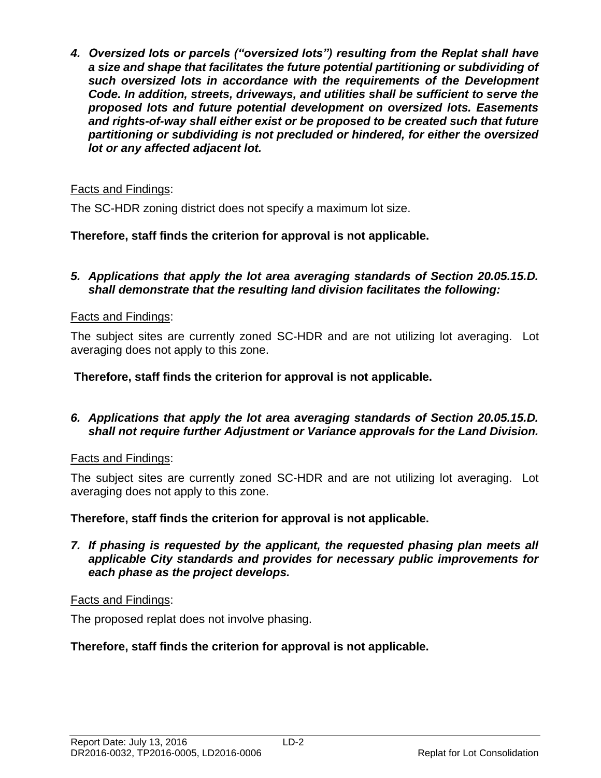*4. Oversized lots or parcels ("oversized lots") resulting from the Replat shall have a size and shape that facilitates the future potential partitioning or subdividing of such oversized lots in accordance with the requirements of the Development Code. In addition, streets, driveways, and utilities shall be sufficient to serve the proposed lots and future potential development on oversized lots. Easements and rights-of-way shall either exist or be proposed to be created such that future partitioning or subdividing is not precluded or hindered, for either the oversized lot or any affected adjacent lot.*

# Facts and Findings:

The SC-HDR zoning district does not specify a maximum lot size.

# **Therefore, staff finds the criterion for approval is not applicable.**

## *5. Applications that apply the lot area averaging standards of Section 20.05.15.D. shall demonstrate that the resulting land division facilitates the following:*

# Facts and Findings:

The subject sites are currently zoned SC-HDR and are not utilizing lot averaging. Lot averaging does not apply to this zone.

**Therefore, staff finds the criterion for approval is not applicable.**

# *6. Applications that apply the lot area averaging standards of Section 20.05.15.D. shall not require further Adjustment or Variance approvals for the Land Division.*

# Facts and Findings:

The subject sites are currently zoned SC-HDR and are not utilizing lot averaging. Lot averaging does not apply to this zone.

# **Therefore, staff finds the criterion for approval is not applicable.**

*7. If phasing is requested by the applicant, the requested phasing plan meets all applicable City standards and provides for necessary public improvements for each phase as the project develops.*

# Facts and Findings:

The proposed replat does not involve phasing.

# **Therefore, staff finds the criterion for approval is not applicable.**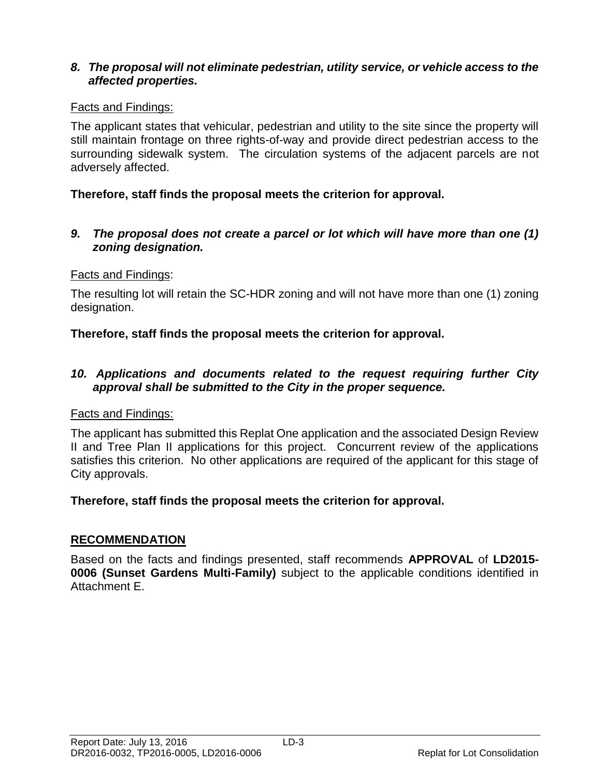# *8. The proposal will not eliminate pedestrian, utility service, or vehicle access to the affected properties.*

# Facts and Findings:

The applicant states that vehicular, pedestrian and utility to the site since the property will still maintain frontage on three rights-of-way and provide direct pedestrian access to the surrounding sidewalk system. The circulation systems of the adjacent parcels are not adversely affected.

# **Therefore, staff finds the proposal meets the criterion for approval.**

## *9. The proposal does not create a parcel or lot which will have more than one (1) zoning designation.*

# Facts and Findings:

The resulting lot will retain the SC-HDR zoning and will not have more than one (1) zoning designation.

# **Therefore, staff finds the proposal meets the criterion for approval.**

## *10. Applications and documents related to the request requiring further City approval shall be submitted to the City in the proper sequence.*

# Facts and Findings:

The applicant has submitted this Replat One application and the associated Design Review II and Tree Plan II applications for this project. Concurrent review of the applications satisfies this criterion. No other applications are required of the applicant for this stage of City approvals.

# **Therefore, staff finds the proposal meets the criterion for approval.**

# **RECOMMENDATION**

Based on the facts and findings presented, staff recommends **APPROVAL** of **LD2015- 0006 (Sunset Gardens Multi-Family)** subject to the applicable conditions identified in Attachment E.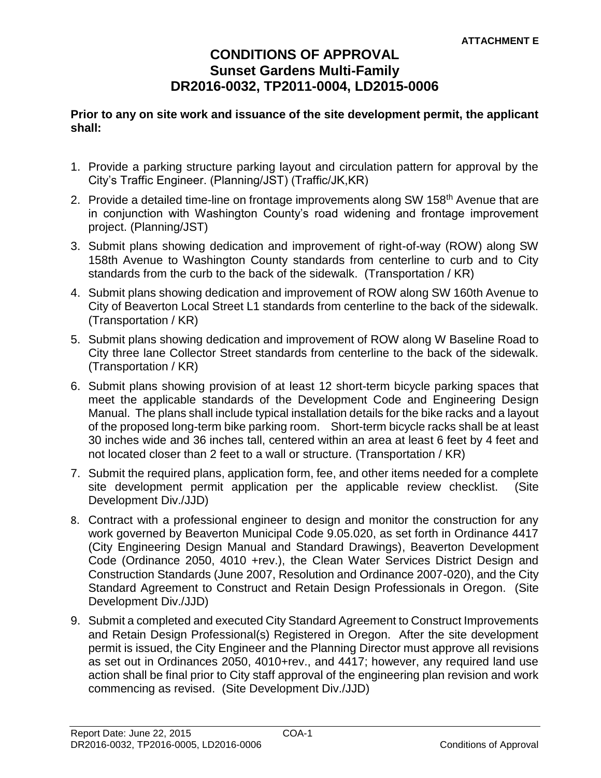# **CONDITIONS OF APPROVAL Sunset Gardens Multi-Family DR2016-0032, TP2011-0004, LD2015-0006**

#### **Prior to any on site work and issuance of the site development permit, the applicant shall:**

- 1. Provide a parking structure parking layout and circulation pattern for approval by the City's Traffic Engineer. (Planning/JST) (Traffic/JK,KR)
- 2. Provide a detailed time-line on frontage improvements along SW 158<sup>th</sup> Avenue that are in conjunction with Washington County's road widening and frontage improvement project. (Planning/JST)
- 3. Submit plans showing dedication and improvement of right-of-way (ROW) along SW 158th Avenue to Washington County standards from centerline to curb and to City standards from the curb to the back of the sidewalk. (Transportation / KR)
- 4. Submit plans showing dedication and improvement of ROW along SW 160th Avenue to City of Beaverton Local Street L1 standards from centerline to the back of the sidewalk. (Transportation / KR)
- 5. Submit plans showing dedication and improvement of ROW along W Baseline Road to City three lane Collector Street standards from centerline to the back of the sidewalk. (Transportation / KR)
- 6. Submit plans showing provision of at least 12 short-term bicycle parking spaces that meet the applicable standards of the Development Code and Engineering Design Manual. The plans shall include typical installation details for the bike racks and a layout of the proposed long-term bike parking room. Short-term bicycle racks shall be at least 30 inches wide and 36 inches tall, centered within an area at least 6 feet by 4 feet and not located closer than 2 feet to a wall or structure. (Transportation / KR)
- 7. Submit the required plans, application form, fee, and other items needed for a complete site development permit application per the applicable review checklist. (Site Development Div./JJD)
- 8. Contract with a professional engineer to design and monitor the construction for any work governed by Beaverton Municipal Code 9.05.020, as set forth in Ordinance 4417 (City Engineering Design Manual and Standard Drawings), Beaverton Development Code (Ordinance 2050, 4010 +rev.), the Clean Water Services District Design and Construction Standards (June 2007, Resolution and Ordinance 2007-020), and the City Standard Agreement to Construct and Retain Design Professionals in Oregon. (Site Development Div./JJD)
- 9. Submit a completed and executed City Standard Agreement to Construct Improvements and Retain Design Professional(s) Registered in Oregon. After the site development permit is issued, the City Engineer and the Planning Director must approve all revisions as set out in Ordinances 2050, 4010+rev., and 4417; however, any required land use action shall be final prior to City staff approval of the engineering plan revision and work commencing as revised. (Site Development Div./JJD)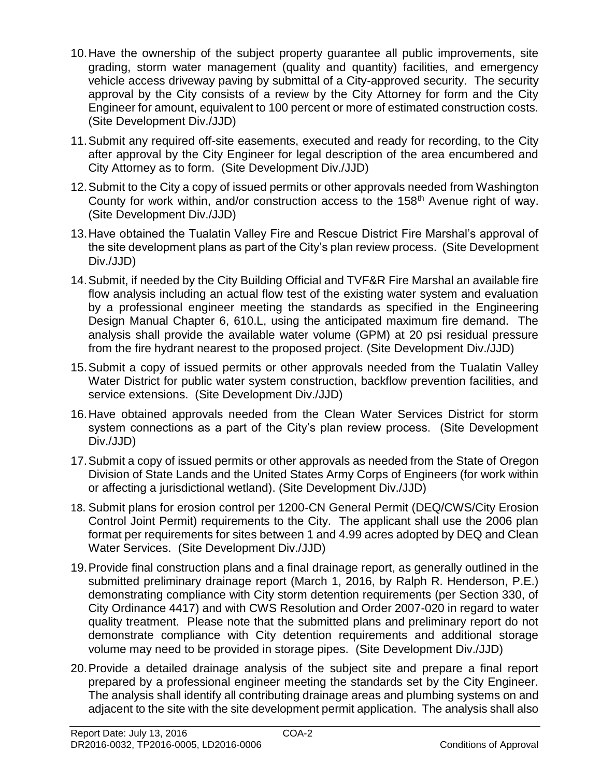- 10.Have the ownership of the subject property guarantee all public improvements, site grading, storm water management (quality and quantity) facilities, and emergency vehicle access driveway paving by submittal of a City-approved security. The security approval by the City consists of a review by the City Attorney for form and the City Engineer for amount, equivalent to 100 percent or more of estimated construction costs. (Site Development Div./JJD)
- 11.Submit any required off-site easements, executed and ready for recording, to the City after approval by the City Engineer for legal description of the area encumbered and City Attorney as to form. (Site Development Div./JJD)
- 12.Submit to the City a copy of issued permits or other approvals needed from Washington County for work within, and/or construction access to the 158<sup>th</sup> Avenue right of way. (Site Development Div./JJD)
- 13.Have obtained the Tualatin Valley Fire and Rescue District Fire Marshal's approval of the site development plans as part of the City's plan review process. (Site Development Div./JJD)
- 14.Submit, if needed by the City Building Official and TVF&R Fire Marshal an available fire flow analysis including an actual flow test of the existing water system and evaluation by a professional engineer meeting the standards as specified in the Engineering Design Manual Chapter 6, 610.L, using the anticipated maximum fire demand. The analysis shall provide the available water volume (GPM) at 20 psi residual pressure from the fire hydrant nearest to the proposed project. (Site Development Div./JJD)
- 15.Submit a copy of issued permits or other approvals needed from the Tualatin Valley Water District for public water system construction, backflow prevention facilities, and service extensions. (Site Development Div./JJD)
- 16.Have obtained approvals needed from the Clean Water Services District for storm system connections as a part of the City's plan review process. (Site Development Div./JJD)
- 17.Submit a copy of issued permits or other approvals as needed from the State of Oregon Division of State Lands and the United States Army Corps of Engineers (for work within or affecting a jurisdictional wetland). (Site Development Div./JJD)
- 18. Submit plans for erosion control per 1200-CN General Permit (DEQ/CWS/City Erosion Control Joint Permit) requirements to the City. The applicant shall use the 2006 plan format per requirements for sites between 1 and 4.99 acres adopted by DEQ and Clean Water Services. (Site Development Div./JJD)
- 19.Provide final construction plans and a final drainage report, as generally outlined in the submitted preliminary drainage report (March 1, 2016, by Ralph R. Henderson, P.E.) demonstrating compliance with City storm detention requirements (per Section 330, of City Ordinance 4417) and with CWS Resolution and Order 2007-020 in regard to water quality treatment. Please note that the submitted plans and preliminary report do not demonstrate compliance with City detention requirements and additional storage volume may need to be provided in storage pipes. (Site Development Div./JJD)
- 20.Provide a detailed drainage analysis of the subject site and prepare a final report prepared by a professional engineer meeting the standards set by the City Engineer. The analysis shall identify all contributing drainage areas and plumbing systems on and adjacent to the site with the site development permit application. The analysis shall also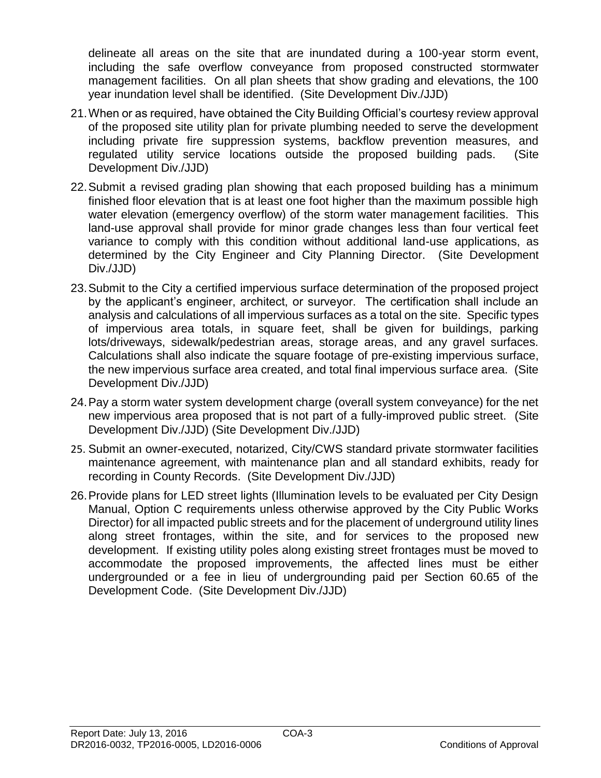delineate all areas on the site that are inundated during a 100-year storm event, including the safe overflow conveyance from proposed constructed stormwater management facilities. On all plan sheets that show grading and elevations, the 100 year inundation level shall be identified. (Site Development Div./JJD)

- 21.When or as required, have obtained the City Building Official's courtesy review approval of the proposed site utility plan for private plumbing needed to serve the development including private fire suppression systems, backflow prevention measures, and regulated utility service locations outside the proposed building pads. (Site Development Div./JJD)
- 22.Submit a revised grading plan showing that each proposed building has a minimum finished floor elevation that is at least one foot higher than the maximum possible high water elevation (emergency overflow) of the storm water management facilities. This land-use approval shall provide for minor grade changes less than four vertical feet variance to comply with this condition without additional land-use applications, as determined by the City Engineer and City Planning Director. (Site Development Div./JJD)
- 23.Submit to the City a certified impervious surface determination of the proposed project by the applicant's engineer, architect, or surveyor. The certification shall include an analysis and calculations of all impervious surfaces as a total on the site. Specific types of impervious area totals, in square feet, shall be given for buildings, parking lots/driveways, sidewalk/pedestrian areas, storage areas, and any gravel surfaces. Calculations shall also indicate the square footage of pre-existing impervious surface, the new impervious surface area created, and total final impervious surface area. (Site Development Div./JJD)
- 24.Pay a storm water system development charge (overall system conveyance) for the net new impervious area proposed that is not part of a fully-improved public street. (Site Development Div./JJD) (Site Development Div./JJD)
- 25. Submit an owner-executed, notarized, City/CWS standard private stormwater facilities maintenance agreement, with maintenance plan and all standard exhibits, ready for recording in County Records. (Site Development Div./JJD)
- 26.Provide plans for LED street lights (Illumination levels to be evaluated per City Design Manual, Option C requirements unless otherwise approved by the City Public Works Director) for all impacted public streets and for the placement of underground utility lines along street frontages, within the site, and for services to the proposed new development. If existing utility poles along existing street frontages must be moved to accommodate the proposed improvements, the affected lines must be either undergrounded or a fee in lieu of undergrounding paid per Section 60.65 of the Development Code. (Site Development Div./JJD)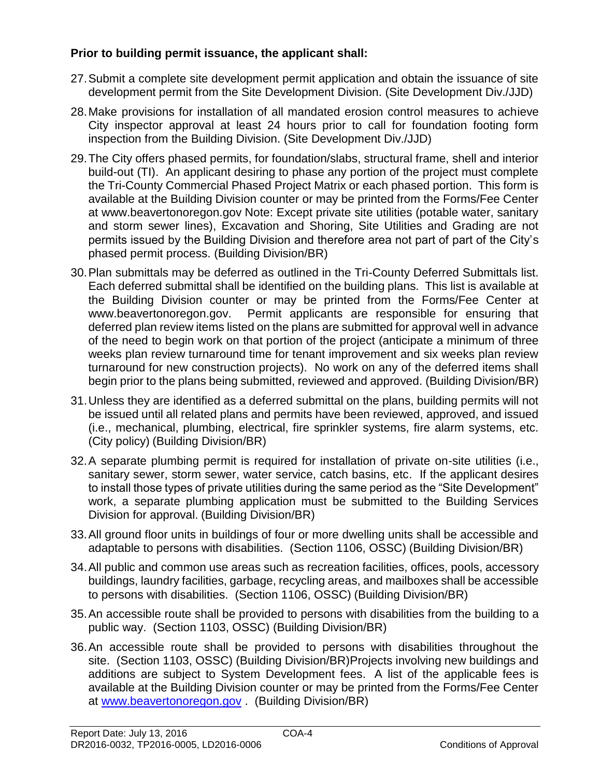# **Prior to building permit issuance, the applicant shall:**

- 27.Submit a complete site development permit application and obtain the issuance of site development permit from the Site Development Division. (Site Development Div./JJD)
- 28.Make provisions for installation of all mandated erosion control measures to achieve City inspector approval at least 24 hours prior to call for foundation footing form inspection from the Building Division. (Site Development Div./JJD)
- 29.The City offers phased permits, for foundation/slabs, structural frame, shell and interior build-out (TI). An applicant desiring to phase any portion of the project must complete the Tri-County Commercial Phased Project Matrix or each phased portion. This form is available at the Building Division counter or may be printed from the Forms/Fee Center at www.beavertonoregon.gov Note: Except private site utilities (potable water, sanitary and storm sewer lines), Excavation and Shoring, Site Utilities and Grading are not permits issued by the Building Division and therefore area not part of part of the City's phased permit process. (Building Division/BR)
- 30.Plan submittals may be deferred as outlined in the Tri-County Deferred Submittals list. Each deferred submittal shall be identified on the building plans. This list is available at the Building Division counter or may be printed from the Forms/Fee Center at www.beavertonoregon.gov. Permit applicants are responsible for ensuring that deferred plan review items listed on the plans are submitted for approval well in advance of the need to begin work on that portion of the project (anticipate a minimum of three weeks plan review turnaround time for tenant improvement and six weeks plan review turnaround for new construction projects). No work on any of the deferred items shall begin prior to the plans being submitted, reviewed and approved. (Building Division/BR)
- 31.Unless they are identified as a deferred submittal on the plans, building permits will not be issued until all related plans and permits have been reviewed, approved, and issued (i.e., mechanical, plumbing, electrical, fire sprinkler systems, fire alarm systems, etc. (City policy) (Building Division/BR)
- 32.A separate plumbing permit is required for installation of private on-site utilities (i.e., sanitary sewer, storm sewer, water service, catch basins, etc. If the applicant desires to install those types of private utilities during the same period as the "Site Development" work, a separate plumbing application must be submitted to the Building Services Division for approval. (Building Division/BR)
- 33.All ground floor units in buildings of four or more dwelling units shall be accessible and adaptable to persons with disabilities. (Section 1106, OSSC) (Building Division/BR)
- 34.All public and common use areas such as recreation facilities, offices, pools, accessory buildings, laundry facilities, garbage, recycling areas, and mailboxes shall be accessible to persons with disabilities. (Section 1106, OSSC) (Building Division/BR)
- 35.An accessible route shall be provided to persons with disabilities from the building to a public way. (Section 1103, OSSC) (Building Division/BR)
- 36.An accessible route shall be provided to persons with disabilities throughout the site. (Section 1103, OSSC) (Building Division/BR)Projects involving new buildings and additions are subject to System Development fees. A list of the applicable fees is available at the Building Division counter or may be printed from the Forms/Fee Center at [www.beavertonoregon.gov](http://www.beavertonoregon.gov/) . (Building Division/BR)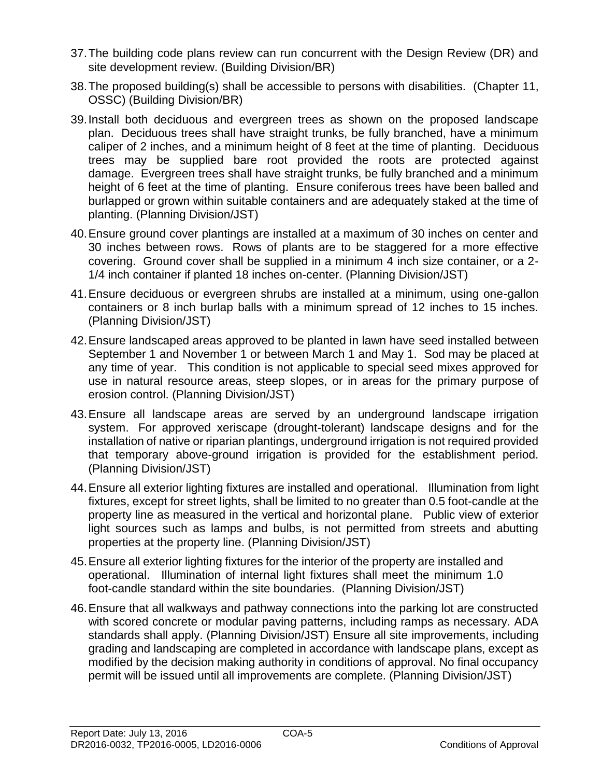- 37.The building code plans review can run concurrent with the Design Review (DR) and site development review. (Building Division/BR)
- 38.The proposed building(s) shall be accessible to persons with disabilities. (Chapter 11, OSSC) (Building Division/BR)
- 39.Install both deciduous and evergreen trees as shown on the proposed landscape plan. Deciduous trees shall have straight trunks, be fully branched, have a minimum caliper of 2 inches, and a minimum height of 8 feet at the time of planting. Deciduous trees may be supplied bare root provided the roots are protected against damage. Evergreen trees shall have straight trunks, be fully branched and a minimum height of 6 feet at the time of planting. Ensure coniferous trees have been balled and burlapped or grown within suitable containers and are adequately staked at the time of planting. (Planning Division/JST)
- 40.Ensure ground cover plantings are installed at a maximum of 30 inches on center and 30 inches between rows. Rows of plants are to be staggered for a more effective covering. Ground cover shall be supplied in a minimum 4 inch size container, or a 2- 1/4 inch container if planted 18 inches on-center. (Planning Division/JST)
- 41.Ensure deciduous or evergreen shrubs are installed at a minimum, using one-gallon containers or 8 inch burlap balls with a minimum spread of 12 inches to 15 inches. (Planning Division/JST)
- 42.Ensure landscaped areas approved to be planted in lawn have seed installed between September 1 and November 1 or between March 1 and May 1. Sod may be placed at any time of year. This condition is not applicable to special seed mixes approved for use in natural resource areas, steep slopes, or in areas for the primary purpose of erosion control. (Planning Division/JST)
- 43.Ensure all landscape areas are served by an underground landscape irrigation system. For approved xeriscape (drought-tolerant) landscape designs and for the installation of native or riparian plantings, underground irrigation is not required provided that temporary above-ground irrigation is provided for the establishment period. (Planning Division/JST)
- 44.Ensure all exterior lighting fixtures are installed and operational. Illumination from light fixtures, except for street lights, shall be limited to no greater than 0.5 foot-candle at the property line as measured in the vertical and horizontal plane. Public view of exterior light sources such as lamps and bulbs, is not permitted from streets and abutting properties at the property line. (Planning Division/JST)
- 45.Ensure all exterior lighting fixtures for the interior of the property are installed and operational. Illumination of internal light fixtures shall meet the minimum 1.0 foot-candle standard within the site boundaries. (Planning Division/JST)
- 46.Ensure that all walkways and pathway connections into the parking lot are constructed with scored concrete or modular paving patterns, including ramps as necessary. ADA standards shall apply. (Planning Division/JST) Ensure all site improvements, including grading and landscaping are completed in accordance with landscape plans, except as modified by the decision making authority in conditions of approval. No final occupancy permit will be issued until all improvements are complete. (Planning Division/JST)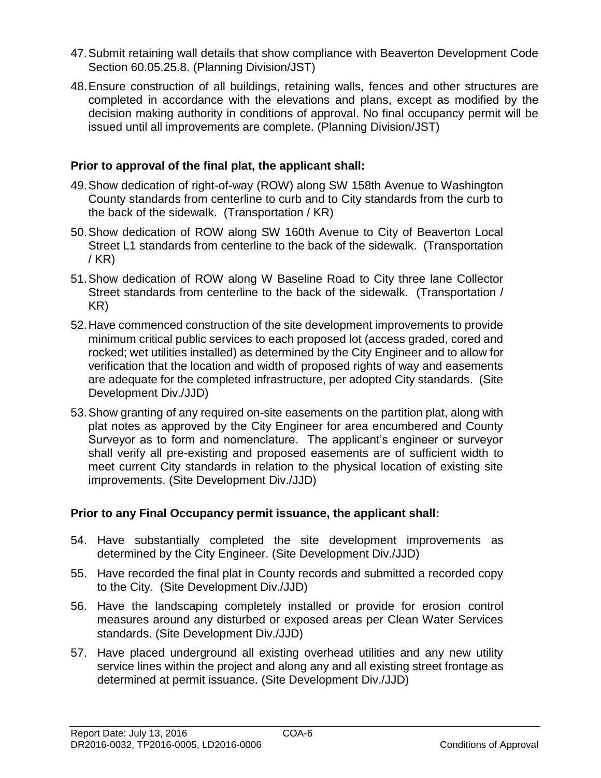- 47.Submit retaining wall details that show compliance with Beaverton Development Code Section 60.05.25.8. (Planning Division/JST)
- 48.Ensure construction of all buildings, retaining walls, fences and other structures are completed in accordance with the elevations and plans, except as modified by the decision making authority in conditions of approval. No final occupancy permit will be issued until all improvements are complete. (Planning Division/JST)

# **Prior to approval of the final plat, the applicant shall:**

- 49.Show dedication of right-of-way (ROW) along SW 158th Avenue to Washington County standards from centerline to curb and to City standards from the curb to the back of the sidewalk. (Transportation / KR)
- 50.Show dedication of ROW along SW 160th Avenue to City of Beaverton Local Street L1 standards from centerline to the back of the sidewalk. (Transportation / KR)
- 51.Show dedication of ROW along W Baseline Road to City three lane Collector Street standards from centerline to the back of the sidewalk. (Transportation / KR)
- 52.Have commenced construction of the site development improvements to provide minimum critical public services to each proposed lot (access graded, cored and rocked; wet utilities installed) as determined by the City Engineer and to allow for verification that the location and width of proposed rights of way and easements are adequate for the completed infrastructure, per adopted City standards. (Site Development Div./JJD)
- 53.Show granting of any required on-site easements on the partition plat, along with plat notes as approved by the City Engineer for area encumbered and County Surveyor as to form and nomenclature. The applicant's engineer or surveyor shall verify all pre-existing and proposed easements are of sufficient width to meet current City standards in relation to the physical location of existing site improvements. (Site Development Div./JJD)

# **Prior to any Final Occupancy permit issuance, the applicant shall:**

- 54. Have substantially completed the site development improvements as determined by the City Engineer. (Site Development Div./JJD)
- 55. Have recorded the final plat in County records and submitted a recorded copy to the City. (Site Development Div./JJD)
- 56. Have the landscaping completely installed or provide for erosion control measures around any disturbed or exposed areas per Clean Water Services standards. (Site Development Div./JJD)
- 57. Have placed underground all existing overhead utilities and any new utility service lines within the project and along any and all existing street frontage as determined at permit issuance. (Site Development Div./JJD)